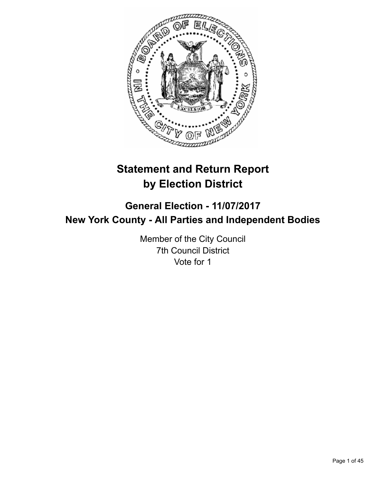

# **Statement and Return Report by Election District**

## **General Election - 11/07/2017 New York County - All Parties and Independent Bodies**

Member of the City Council 7th Council District Vote for 1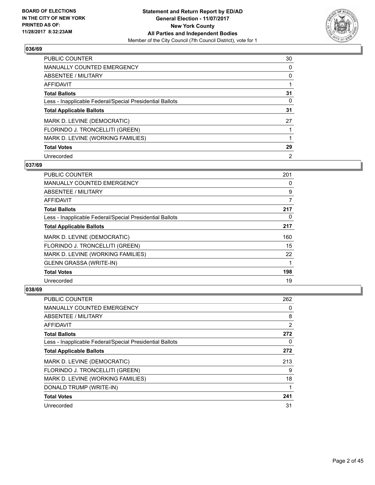

| PUBLIC COUNTER                                           | 30 |
|----------------------------------------------------------|----|
| <b>MANUALLY COUNTED EMERGENCY</b>                        | 0  |
| ABSENTEE / MILITARY                                      | 0  |
| AFFIDAVIT                                                |    |
| <b>Total Ballots</b>                                     | 31 |
| Less - Inapplicable Federal/Special Presidential Ballots | 0  |
| <b>Total Applicable Ballots</b>                          | 31 |
| MARK D. LEVINE (DEMOCRATIC)                              | 27 |
| FLORINDO J. TRONCELLITI (GREEN)                          |    |
| MARK D. LEVINE (WORKING FAMILIES)                        |    |
| <b>Total Votes</b>                                       | 29 |
| Unrecorded                                               | 2  |

#### **037/69**

| <b>PUBLIC COUNTER</b>                                    | 201 |
|----------------------------------------------------------|-----|
| <b>MANUALLY COUNTED EMERGENCY</b>                        | 0   |
| ABSENTEE / MILITARY                                      | 9   |
| AFFIDAVIT                                                | 7   |
| <b>Total Ballots</b>                                     | 217 |
| Less - Inapplicable Federal/Special Presidential Ballots | 0   |
| <b>Total Applicable Ballots</b>                          | 217 |
| MARK D. LEVINE (DEMOCRATIC)                              | 160 |
| FLORINDO J. TRONCELLITI (GREEN)                          | 15  |
| MARK D. LEVINE (WORKING FAMILIES)                        | 22  |
| <b>GLENN GRASSA (WRITE-IN)</b>                           | 1   |
| <b>Total Votes</b>                                       | 198 |
| Unrecorded                                               | 19  |

| <b>PUBLIC COUNTER</b>                                    | 262 |
|----------------------------------------------------------|-----|
| <b>MANUALLY COUNTED EMERGENCY</b>                        | 0   |
| ABSENTEE / MILITARY                                      | 8   |
| AFFIDAVIT                                                | 2   |
| <b>Total Ballots</b>                                     | 272 |
| Less - Inapplicable Federal/Special Presidential Ballots | 0   |
| <b>Total Applicable Ballots</b>                          | 272 |
| MARK D. LEVINE (DEMOCRATIC)                              | 213 |
| FLORINDO J. TRONCELLITI (GREEN)                          | 9   |
| MARK D. LEVINE (WORKING FAMILIES)                        | 18  |
| DONALD TRUMP (WRITE-IN)                                  |     |
| <b>Total Votes</b>                                       | 241 |
| Unrecorded                                               | 31  |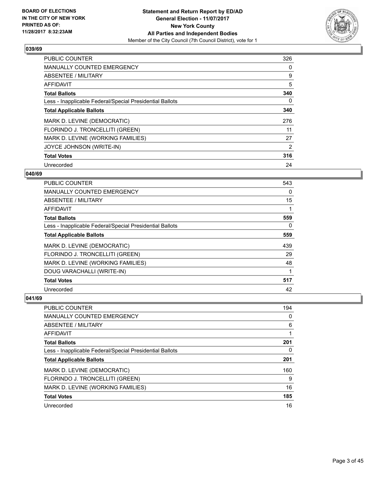

| <b>PUBLIC COUNTER</b>                                    | 326 |
|----------------------------------------------------------|-----|
| <b>MANUALLY COUNTED EMERGENCY</b>                        | 0   |
| ABSENTEE / MILITARY                                      | 9   |
| <b>AFFIDAVIT</b>                                         | 5   |
| <b>Total Ballots</b>                                     | 340 |
| Less - Inapplicable Federal/Special Presidential Ballots | 0   |
| <b>Total Applicable Ballots</b>                          | 340 |
| MARK D. LEVINE (DEMOCRATIC)                              | 276 |
| FLORINDO J. TRONCELLITI (GREEN)                          | 11  |
| MARK D. LEVINE (WORKING FAMILIES)                        | 27  |
| JOYCE JOHNSON (WRITE-IN)                                 | 2   |
| <b>Total Votes</b>                                       | 316 |
| Unrecorded                                               | 24  |

#### **040/69**

| <b>PUBLIC COUNTER</b>                                    | 543 |
|----------------------------------------------------------|-----|
| <b>MANUALLY COUNTED EMERGENCY</b>                        | 0   |
| ABSENTEE / MILITARY                                      | 15  |
| AFFIDAVIT                                                |     |
| <b>Total Ballots</b>                                     | 559 |
| Less - Inapplicable Federal/Special Presidential Ballots | 0   |
| <b>Total Applicable Ballots</b>                          | 559 |
| MARK D. LEVINE (DEMOCRATIC)                              | 439 |
| FLORINDO J. TRONCELLITI (GREEN)                          | 29  |
| MARK D. LEVINE (WORKING FAMILIES)                        | 48  |
| DOUG VARACHALLI (WRITE-IN)                               |     |
| <b>Total Votes</b>                                       | 517 |
| Unrecorded                                               | 42  |

| PUBLIC COUNTER                                           | 194 |
|----------------------------------------------------------|-----|
| <b>MANUALLY COUNTED EMERGENCY</b>                        | 0   |
| ABSENTEE / MILITARY                                      | 6   |
| AFFIDAVIT                                                |     |
| <b>Total Ballots</b>                                     | 201 |
| Less - Inapplicable Federal/Special Presidential Ballots | 0   |
| <b>Total Applicable Ballots</b>                          | 201 |
| MARK D. LEVINE (DEMOCRATIC)                              | 160 |
| FLORINDO J. TRONCELLITI (GREEN)                          | 9   |
| MARK D. LEVINE (WORKING FAMILIES)                        | 16  |
| <b>Total Votes</b>                                       | 185 |
| Unrecorded                                               | 16  |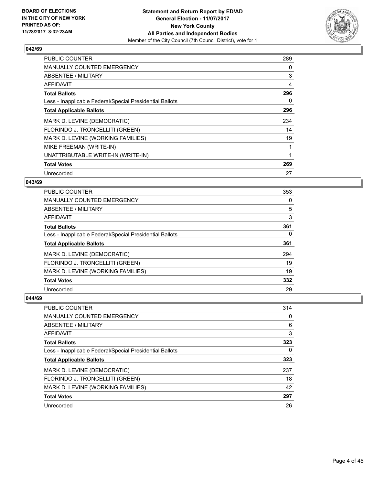

| <b>PUBLIC COUNTER</b>                                    | 289 |
|----------------------------------------------------------|-----|
| <b>MANUALLY COUNTED EMERGENCY</b>                        | 0   |
| <b>ABSENTEE / MILITARY</b>                               | 3   |
| AFFIDAVIT                                                | 4   |
| <b>Total Ballots</b>                                     | 296 |
| Less - Inapplicable Federal/Special Presidential Ballots | 0   |
| <b>Total Applicable Ballots</b>                          | 296 |
| MARK D. LEVINE (DEMOCRATIC)                              | 234 |
| FLORINDO J. TRONCELLITI (GREEN)                          | 14  |
| MARK D. LEVINE (WORKING FAMILIES)                        | 19  |
| MIKE FREEMAN (WRITE-IN)                                  |     |
| UNATTRIBUTABLE WRITE-IN (WRITE-IN)                       |     |
| <b>Total Votes</b>                                       | 269 |
| Unrecorded                                               | 27  |

## **043/69**

| <b>PUBLIC COUNTER</b>                                    | 353 |
|----------------------------------------------------------|-----|
| <b>MANUALLY COUNTED EMERGENCY</b>                        | 0   |
| ABSENTEE / MILITARY                                      | 5   |
| AFFIDAVIT                                                | 3   |
| <b>Total Ballots</b>                                     | 361 |
| Less - Inapplicable Federal/Special Presidential Ballots | 0   |
| <b>Total Applicable Ballots</b>                          | 361 |
| MARK D. LEVINE (DEMOCRATIC)                              | 294 |
| FLORINDO J. TRONCELLITI (GREEN)                          | 19  |
| MARK D. LEVINE (WORKING FAMILIES)                        | 19  |
| <b>Total Votes</b>                                       | 332 |
| Unrecorded                                               | 29  |

| <b>PUBLIC COUNTER</b>                                    | 314 |
|----------------------------------------------------------|-----|
| <b>MANUALLY COUNTED EMERGENCY</b>                        | 0   |
| ABSENTEE / MILITARY                                      | 6   |
| AFFIDAVIT                                                | 3   |
| <b>Total Ballots</b>                                     | 323 |
| Less - Inapplicable Federal/Special Presidential Ballots | 0   |
| <b>Total Applicable Ballots</b>                          | 323 |
| MARK D. LEVINE (DEMOCRATIC)                              | 237 |
| FLORINDO J. TRONCELLITI (GREEN)                          | 18  |
| MARK D. LEVINE (WORKING FAMILIES)                        | 42  |
| <b>Total Votes</b>                                       | 297 |
| Unrecorded                                               | 26  |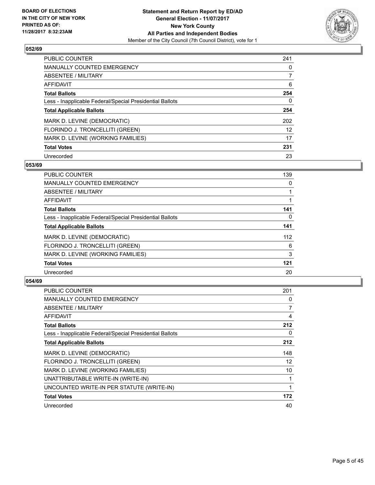

| <b>PUBLIC COUNTER</b>                                    | 241 |
|----------------------------------------------------------|-----|
| <b>MANUALLY COUNTED EMERGENCY</b>                        | 0   |
| ABSENTEE / MILITARY                                      |     |
| AFFIDAVIT                                                | 6   |
| <b>Total Ballots</b>                                     | 254 |
| Less - Inapplicable Federal/Special Presidential Ballots | 0   |
| <b>Total Applicable Ballots</b>                          | 254 |
| MARK D. LEVINE (DEMOCRATIC)                              | 202 |
| FLORINDO J. TRONCELLITI (GREEN)                          | 12  |
| MARK D. LEVINE (WORKING FAMILIES)                        | 17  |
| <b>Total Votes</b>                                       | 231 |
| Unrecorded                                               | 23  |

#### **053/69**

| <b>PUBLIC COUNTER</b>                                    | 139      |
|----------------------------------------------------------|----------|
| <b>MANUALLY COUNTED EMERGENCY</b>                        | 0        |
| ABSENTEE / MILITARY                                      |          |
| <b>AFFIDAVIT</b>                                         |          |
| <b>Total Ballots</b>                                     | 141      |
| Less - Inapplicable Federal/Special Presidential Ballots | $\Omega$ |
| <b>Total Applicable Ballots</b>                          | 141      |
| MARK D. LEVINE (DEMOCRATIC)                              | 112      |
| FLORINDO J. TRONCELLITI (GREEN)                          | 6        |
| MARK D. LEVINE (WORKING FAMILIES)                        | 3        |
| <b>Total Votes</b>                                       | 121      |
| Unrecorded                                               | 20       |

| PUBLIC COUNTER                                           | 201 |
|----------------------------------------------------------|-----|
| MANUALLY COUNTED EMERGENCY                               | 0   |
| ABSENTEE / MILITARY                                      | 7   |
| AFFIDAVIT                                                | 4   |
| <b>Total Ballots</b>                                     | 212 |
| Less - Inapplicable Federal/Special Presidential Ballots | 0   |
| <b>Total Applicable Ballots</b>                          | 212 |
| MARK D. LEVINE (DEMOCRATIC)                              | 148 |
| FLORINDO J. TRONCELLITI (GREEN)                          | 12  |
| MARK D. LEVINE (WORKING FAMILIES)                        | 10  |
| UNATTRIBUTABLE WRITE-IN (WRITE-IN)                       |     |
| UNCOUNTED WRITE-IN PER STATUTE (WRITE-IN)                | 1   |
| <b>Total Votes</b>                                       | 172 |
| Unrecorded                                               | 40  |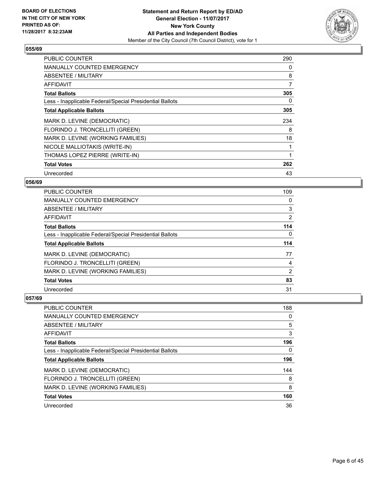

| <b>PUBLIC COUNTER</b>                                    | 290 |
|----------------------------------------------------------|-----|
| <b>MANUALLY COUNTED EMERGENCY</b>                        | 0   |
| <b>ABSENTEE / MILITARY</b>                               | 8   |
| <b>AFFIDAVIT</b>                                         | 7   |
| <b>Total Ballots</b>                                     | 305 |
| Less - Inapplicable Federal/Special Presidential Ballots | 0   |
| <b>Total Applicable Ballots</b>                          | 305 |
| MARK D. LEVINE (DEMOCRATIC)                              | 234 |
| FLORINDO J. TRONCELLITI (GREEN)                          | 8   |
| MARK D. LEVINE (WORKING FAMILIES)                        | 18  |
| NICOLE MALLIOTAKIS (WRITE-IN)                            |     |
| THOMAS LOPEZ PIERRE (WRITE-IN)                           |     |
| <b>Total Votes</b>                                       | 262 |
| Unrecorded                                               | 43  |

## **056/69**

| <b>PUBLIC COUNTER</b>                                    | 109            |
|----------------------------------------------------------|----------------|
| MANUALLY COUNTED EMERGENCY                               | 0              |
| ABSENTEE / MILITARY                                      | 3              |
| AFFIDAVIT                                                | $\overline{2}$ |
| <b>Total Ballots</b>                                     | 114            |
| Less - Inapplicable Federal/Special Presidential Ballots | $\Omega$       |
| <b>Total Applicable Ballots</b>                          | 114            |
| MARK D. LEVINE (DEMOCRATIC)                              | 77             |
| FLORINDO J. TRONCELLITI (GREEN)                          | 4              |
| MARK D. LEVINE (WORKING FAMILIES)                        | 2              |
| <b>Total Votes</b>                                       | 83             |
| Unrecorded                                               | 31             |

| <b>PUBLIC COUNTER</b>                                    | 188 |
|----------------------------------------------------------|-----|
| MANUALLY COUNTED EMERGENCY                               | 0   |
| ABSENTEE / MILITARY                                      | 5   |
| AFFIDAVIT                                                | 3   |
| <b>Total Ballots</b>                                     | 196 |
| Less - Inapplicable Federal/Special Presidential Ballots | 0   |
| <b>Total Applicable Ballots</b>                          | 196 |
| MARK D. LEVINE (DEMOCRATIC)                              | 144 |
| FLORINDO J. TRONCELLITI (GREEN)                          | 8   |
| MARK D. LEVINE (WORKING FAMILIES)                        | 8   |
| <b>Total Votes</b>                                       | 160 |
| Unrecorded                                               | 36  |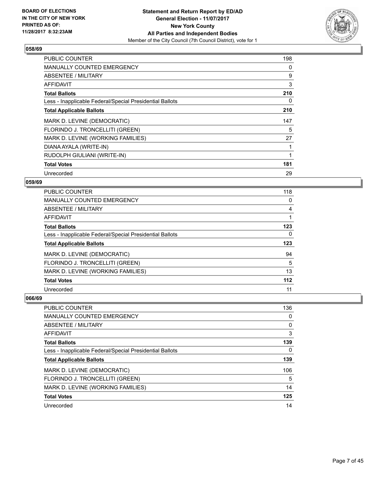

| <b>PUBLIC COUNTER</b>                                    | 198 |
|----------------------------------------------------------|-----|
| <b>MANUALLY COUNTED EMERGENCY</b>                        | 0   |
| <b>ABSENTEE / MILITARY</b>                               | 9   |
| <b>AFFIDAVIT</b>                                         | 3   |
| <b>Total Ballots</b>                                     | 210 |
| Less - Inapplicable Federal/Special Presidential Ballots | 0   |
| <b>Total Applicable Ballots</b>                          | 210 |
| MARK D. LEVINE (DEMOCRATIC)                              | 147 |
| FLORINDO J. TRONCELLITI (GREEN)                          | 5   |
| MARK D. LEVINE (WORKING FAMILIES)                        | 27  |
| DIANA AYALA (WRITE-IN)                                   |     |
| RUDOLPH GIULIANI (WRITE-IN)                              |     |
| <b>Total Votes</b>                                       | 181 |
| Unrecorded                                               | 29  |

## **059/69**

| <b>PUBLIC COUNTER</b>                                    | 118 |
|----------------------------------------------------------|-----|
| <b>MANUALLY COUNTED EMERGENCY</b>                        | 0   |
| ABSENTEE / MILITARY                                      | 4   |
| <b>AFFIDAVIT</b>                                         |     |
| <b>Total Ballots</b>                                     | 123 |
| Less - Inapplicable Federal/Special Presidential Ballots | 0   |
| <b>Total Applicable Ballots</b>                          | 123 |
| MARK D. LEVINE (DEMOCRATIC)                              | 94  |
| FLORINDO J. TRONCELLITI (GREEN)                          | 5   |
| MARK D. LEVINE (WORKING FAMILIES)                        | 13  |
| <b>Total Votes</b>                                       | 112 |
| Unrecorded                                               | 11  |

| <b>PUBLIC COUNTER</b>                                    | 136 |
|----------------------------------------------------------|-----|
| <b>MANUALLY COUNTED EMERGENCY</b>                        | 0   |
| ABSENTEE / MILITARY                                      | 0   |
| AFFIDAVIT                                                | 3   |
| <b>Total Ballots</b>                                     | 139 |
| Less - Inapplicable Federal/Special Presidential Ballots | 0   |
| <b>Total Applicable Ballots</b>                          | 139 |
| MARK D. LEVINE (DEMOCRATIC)                              | 106 |
| FLORINDO J. TRONCELLITI (GREEN)                          | 5   |
| MARK D. LEVINE (WORKING FAMILIES)                        | 14  |
| <b>Total Votes</b>                                       | 125 |
| Unrecorded                                               | 14  |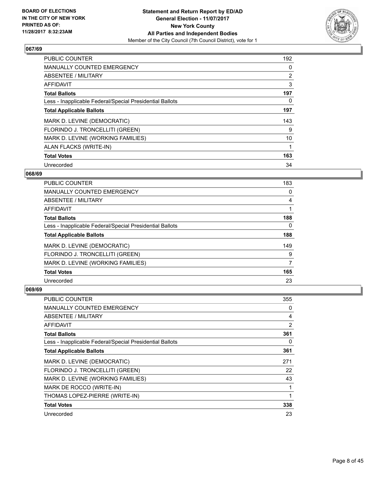

| <b>PUBLIC COUNTER</b>                                    | 192            |
|----------------------------------------------------------|----------------|
| <b>MANUALLY COUNTED EMERGENCY</b>                        | 0              |
| ABSENTEE / MILITARY                                      | $\overline{2}$ |
| <b>AFFIDAVIT</b>                                         | 3              |
| <b>Total Ballots</b>                                     | 197            |
| Less - Inapplicable Federal/Special Presidential Ballots | 0              |
| <b>Total Applicable Ballots</b>                          | 197            |
| MARK D. LEVINE (DEMOCRATIC)                              | 143            |
| FLORINDO J. TRONCELLITI (GREEN)                          | 9              |
| MARK D. LEVINE (WORKING FAMILIES)                        | 10             |
| ALAN FLACKS (WRITE-IN)                                   |                |
| <b>Total Votes</b>                                       | 163            |
| Unrecorded                                               | 34             |

## **068/69**

| <b>PUBLIC COUNTER</b>                                    | 183 |
|----------------------------------------------------------|-----|
| <b>MANUALLY COUNTED EMERGENCY</b>                        | 0   |
| ABSENTEE / MILITARY                                      | 4   |
| AFFIDAVIT                                                |     |
| <b>Total Ballots</b>                                     | 188 |
| Less - Inapplicable Federal/Special Presidential Ballots | 0   |
| <b>Total Applicable Ballots</b>                          | 188 |
| MARK D. LEVINE (DEMOCRATIC)                              | 149 |
| FLORINDO J. TRONCELLITI (GREEN)                          | 9   |
| MARK D. LEVINE (WORKING FAMILIES)                        | 7   |
| <b>Total Votes</b>                                       | 165 |
| Unrecorded                                               | 23  |

| <b>PUBLIC COUNTER</b>                                    | 355          |
|----------------------------------------------------------|--------------|
| <b>MANUALLY COUNTED EMERGENCY</b>                        | 0            |
| ABSENTEE / MILITARY                                      | 4            |
| AFFIDAVIT                                                | 2            |
| <b>Total Ballots</b>                                     | 361          |
| Less - Inapplicable Federal/Special Presidential Ballots | 0            |
| <b>Total Applicable Ballots</b>                          | 361          |
| MARK D. LEVINE (DEMOCRATIC)                              | 271          |
| FLORINDO J. TRONCELLITI (GREEN)                          | 22           |
| MARK D. LEVINE (WORKING FAMILIES)                        | 43           |
| MARK DE ROCCO (WRITE-IN)                                 | 1            |
| THOMAS LOPEZ-PIERRE (WRITE-IN)                           | $\mathbf{1}$ |
| <b>Total Votes</b>                                       | 338          |
| Unrecorded                                               | 23           |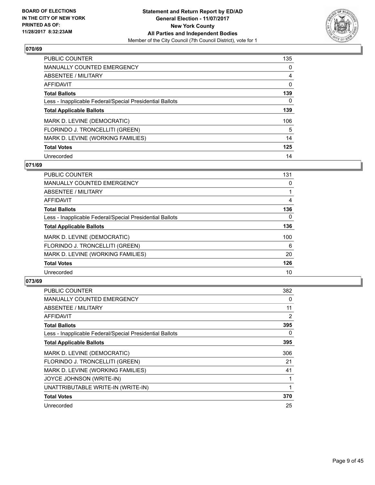

| <b>PUBLIC COUNTER</b>                                    | 135 |
|----------------------------------------------------------|-----|
| <b>MANUALLY COUNTED EMERGENCY</b>                        | 0   |
| ABSENTEE / MILITARY                                      | 4   |
| <b>AFFIDAVIT</b>                                         | 0   |
| <b>Total Ballots</b>                                     | 139 |
| Less - Inapplicable Federal/Special Presidential Ballots | 0   |
| <b>Total Applicable Ballots</b>                          | 139 |
| MARK D. LEVINE (DEMOCRATIC)                              | 106 |
| FLORINDO J. TRONCELLITI (GREEN)                          | 5   |
| MARK D. LEVINE (WORKING FAMILIES)                        | 14  |
| <b>Total Votes</b>                                       | 125 |
| Unrecorded                                               | 14  |

#### **071/69**

| <b>PUBLIC COUNTER</b>                                    | 131      |
|----------------------------------------------------------|----------|
| <b>MANUALLY COUNTED EMERGENCY</b>                        | 0        |
| ABSENTEE / MILITARY                                      |          |
| <b>AFFIDAVIT</b>                                         | 4        |
| <b>Total Ballots</b>                                     | 136      |
| Less - Inapplicable Federal/Special Presidential Ballots | $\Omega$ |
| <b>Total Applicable Ballots</b>                          | 136      |
| MARK D. LEVINE (DEMOCRATIC)                              | 100      |
| FLORINDO J. TRONCELLITI (GREEN)                          | 6        |
| MARK D. LEVINE (WORKING FAMILIES)                        | 20       |
| <b>Total Votes</b>                                       | 126      |
| Unrecorded                                               | 10       |

| PUBLIC COUNTER                                           | 382 |
|----------------------------------------------------------|-----|
| <b>MANUALLY COUNTED EMERGENCY</b>                        | 0   |
| ABSENTEE / MILITARY                                      | 11  |
| AFFIDAVIT                                                | 2   |
| <b>Total Ballots</b>                                     | 395 |
| Less - Inapplicable Federal/Special Presidential Ballots | 0   |
| <b>Total Applicable Ballots</b>                          | 395 |
| MARK D. LEVINE (DEMOCRATIC)                              | 306 |
| FLORINDO J. TRONCELLITI (GREEN)                          | 21  |
| MARK D. LEVINE (WORKING FAMILIES)                        | 41  |
| JOYCE JOHNSON (WRITE-IN)                                 | 1   |
| UNATTRIBUTABLE WRITE-IN (WRITE-IN)                       | 1   |
| <b>Total Votes</b>                                       | 370 |
| Unrecorded                                               | 25  |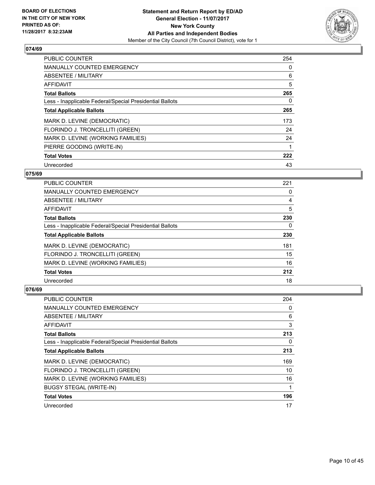

| <b>PUBLIC COUNTER</b>                                    | 254 |
|----------------------------------------------------------|-----|
| <b>MANUALLY COUNTED EMERGENCY</b>                        | 0   |
| ABSENTEE / MILITARY                                      | 6   |
| <b>AFFIDAVIT</b>                                         | 5   |
| <b>Total Ballots</b>                                     | 265 |
| Less - Inapplicable Federal/Special Presidential Ballots | 0   |
| <b>Total Applicable Ballots</b>                          | 265 |
| MARK D. LEVINE (DEMOCRATIC)                              | 173 |
| FLORINDO J. TRONCELLITI (GREEN)                          | 24  |
| MARK D. LEVINE (WORKING FAMILIES)                        | 24  |
| PIERRE GOODING (WRITE-IN)                                |     |
| <b>Total Votes</b>                                       | 222 |
| Unrecorded                                               | 43  |

#### **075/69**

| <b>PUBLIC COUNTER</b>                                    | 221 |
|----------------------------------------------------------|-----|
| <b>MANUALLY COUNTED EMERGENCY</b>                        | 0   |
| ABSENTEE / MILITARY                                      | 4   |
| AFFIDAVIT                                                | 5   |
| <b>Total Ballots</b>                                     | 230 |
| Less - Inapplicable Federal/Special Presidential Ballots | 0   |
| <b>Total Applicable Ballots</b>                          | 230 |
| MARK D. LEVINE (DEMOCRATIC)                              | 181 |
| FLORINDO J. TRONCELLITI (GREEN)                          | 15  |
| MARK D. LEVINE (WORKING FAMILIES)                        | 16  |
| <b>Total Votes</b>                                       | 212 |
| Unrecorded                                               | 18  |

| <b>PUBLIC COUNTER</b>                                    | 204 |
|----------------------------------------------------------|-----|
| <b>MANUALLY COUNTED EMERGENCY</b>                        | 0   |
| ABSENTEE / MILITARY                                      | 6   |
| AFFIDAVIT                                                | 3   |
| <b>Total Ballots</b>                                     | 213 |
| Less - Inapplicable Federal/Special Presidential Ballots | 0   |
| <b>Total Applicable Ballots</b>                          | 213 |
| MARK D. LEVINE (DEMOCRATIC)                              | 169 |
| FLORINDO J. TRONCELLITI (GREEN)                          | 10  |
| MARK D. LEVINE (WORKING FAMILIES)                        | 16  |
| <b>BUGSY STEGAL (WRITE-IN)</b>                           |     |
| <b>Total Votes</b>                                       | 196 |
| Unrecorded                                               | 17  |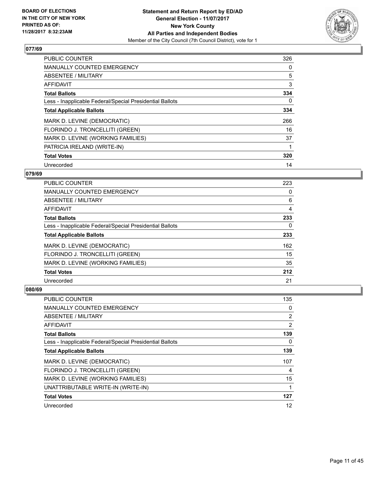

| <b>PUBLIC COUNTER</b>                                    | 326 |
|----------------------------------------------------------|-----|
| <b>MANUALLY COUNTED EMERGENCY</b>                        | 0   |
| ABSENTEE / MILITARY                                      | 5   |
| <b>AFFIDAVIT</b>                                         | 3   |
| <b>Total Ballots</b>                                     | 334 |
| Less - Inapplicable Federal/Special Presidential Ballots | 0   |
| <b>Total Applicable Ballots</b>                          | 334 |
| MARK D. LEVINE (DEMOCRATIC)                              | 266 |
| FLORINDO J. TRONCELLITI (GREEN)                          | 16  |
| MARK D. LEVINE (WORKING FAMILIES)                        | 37  |
| PATRICIA IRELAND (WRITE-IN)                              |     |
| <b>Total Votes</b>                                       | 320 |
| Unrecorded                                               | 14  |

#### **079/69**

| <b>PUBLIC COUNTER</b>                                    | 223 |
|----------------------------------------------------------|-----|
| <b>MANUALLY COUNTED EMERGENCY</b>                        | 0   |
| ABSENTEE / MILITARY                                      | 6   |
| AFFIDAVIT                                                | 4   |
| <b>Total Ballots</b>                                     | 233 |
| Less - Inapplicable Federal/Special Presidential Ballots | 0   |
| <b>Total Applicable Ballots</b>                          | 233 |
| MARK D. LEVINE (DEMOCRATIC)                              | 162 |
| FLORINDO J. TRONCELLITI (GREEN)                          | 15  |
| MARK D. LEVINE (WORKING FAMILIES)                        | 35  |
| <b>Total Votes</b>                                       | 212 |
| Unrecorded                                               | 21  |

| <b>PUBLIC COUNTER</b>                                    | 135 |
|----------------------------------------------------------|-----|
| <b>MANUALLY COUNTED EMERGENCY</b>                        | 0   |
| ABSENTEE / MILITARY                                      | 2   |
| AFFIDAVIT                                                | 2   |
| <b>Total Ballots</b>                                     | 139 |
| Less - Inapplicable Federal/Special Presidential Ballots | 0   |
| <b>Total Applicable Ballots</b>                          | 139 |
| MARK D. LEVINE (DEMOCRATIC)                              | 107 |
| FLORINDO J. TRONCELLITI (GREEN)                          | 4   |
| MARK D. LEVINE (WORKING FAMILIES)                        | 15  |
| UNATTRIBUTABLE WRITE-IN (WRITE-IN)                       |     |
| <b>Total Votes</b>                                       | 127 |
| Unrecorded                                               | 12  |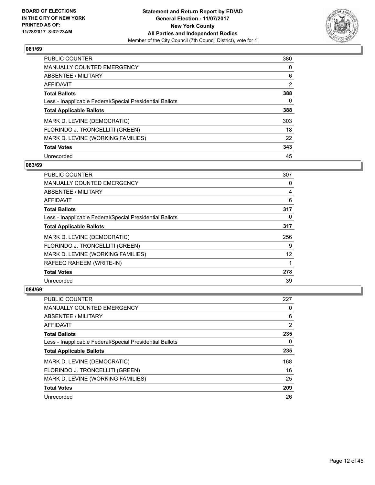

| <b>PUBLIC COUNTER</b>                                    | 380            |
|----------------------------------------------------------|----------------|
| <b>MANUALLY COUNTED EMERGENCY</b>                        | 0              |
| ABSENTEE / MILITARY                                      | 6              |
| AFFIDAVIT                                                | $\overline{2}$ |
| <b>Total Ballots</b>                                     | 388            |
| Less - Inapplicable Federal/Special Presidential Ballots | 0              |
| <b>Total Applicable Ballots</b>                          | 388            |
| MARK D. LEVINE (DEMOCRATIC)                              | 303            |
| FLORINDO J. TRONCELLITI (GREEN)                          | 18             |
| MARK D. LEVINE (WORKING FAMILIES)                        | 22             |
| <b>Total Votes</b>                                       | 343            |
| Unrecorded                                               | 45             |

#### **083/69**

| <b>PUBLIC COUNTER</b>                                    | 307 |
|----------------------------------------------------------|-----|
| <b>MANUALLY COUNTED EMERGENCY</b>                        | 0   |
| ABSENTEE / MILITARY                                      | 4   |
| AFFIDAVIT                                                | 6   |
| <b>Total Ballots</b>                                     | 317 |
| Less - Inapplicable Federal/Special Presidential Ballots | 0   |
| <b>Total Applicable Ballots</b>                          | 317 |
| MARK D. LEVINE (DEMOCRATIC)                              | 256 |
| FLORINDO J. TRONCELLITI (GREEN)                          | 9   |
| MARK D. LEVINE (WORKING FAMILIES)                        | 12  |
| RAFEEQ RAHEEM (WRITE-IN)                                 |     |
| <b>Total Votes</b>                                       | 278 |
| Unrecorded                                               | 39  |

| PUBLIC COUNTER                                           | 227 |
|----------------------------------------------------------|-----|
| <b>MANUALLY COUNTED EMERGENCY</b>                        | 0   |
| ABSENTEE / MILITARY                                      | 6   |
| AFFIDAVIT                                                | 2   |
| <b>Total Ballots</b>                                     | 235 |
| Less - Inapplicable Federal/Special Presidential Ballots | 0   |
| <b>Total Applicable Ballots</b>                          | 235 |
| MARK D. LEVINE (DEMOCRATIC)                              | 168 |
| FLORINDO J. TRONCELLITI (GREEN)                          | 16  |
| MARK D. LEVINE (WORKING FAMILIES)                        | 25  |
| <b>Total Votes</b>                                       | 209 |
| Unrecorded                                               | 26  |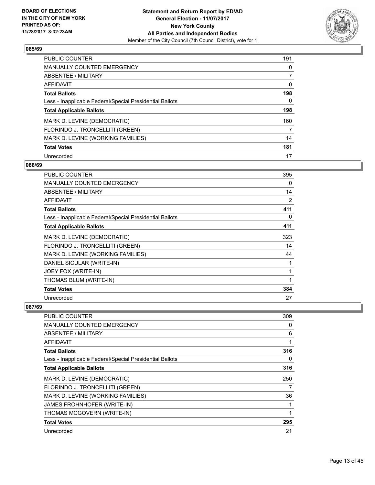

| <b>PUBLIC COUNTER</b>                                    | 191 |
|----------------------------------------------------------|-----|
| <b>MANUALLY COUNTED EMERGENCY</b>                        | 0   |
| ABSENTEE / MILITARY                                      |     |
| <b>AFFIDAVIT</b>                                         | 0   |
| <b>Total Ballots</b>                                     | 198 |
| Less - Inapplicable Federal/Special Presidential Ballots | 0   |
| <b>Total Applicable Ballots</b>                          | 198 |
| MARK D. LEVINE (DEMOCRATIC)                              | 160 |
| FLORINDO J. TRONCELLITI (GREEN)                          | 7   |
| MARK D. LEVINE (WORKING FAMILIES)                        | 14  |
| <b>Total Votes</b>                                       | 181 |
| Unrecorded                                               | 17  |

#### **086/69**

| <b>PUBLIC COUNTER</b>                                    | 395            |
|----------------------------------------------------------|----------------|
| <b>MANUALLY COUNTED EMERGENCY</b>                        | 0              |
| ABSENTEE / MILITARY                                      | 14             |
| AFFIDAVIT                                                | $\overline{2}$ |
| <b>Total Ballots</b>                                     | 411            |
| Less - Inapplicable Federal/Special Presidential Ballots | 0              |
| <b>Total Applicable Ballots</b>                          | 411            |
| MARK D. LEVINE (DEMOCRATIC)                              | 323            |
| FLORINDO J. TRONCELLITI (GREEN)                          | 14             |
| MARK D. LEVINE (WORKING FAMILIES)                        | 44             |
| DANIEL SICULAR (WRITE-IN)                                | 1              |
| JOEY FOX (WRITE-IN)                                      | 1              |
| THOMAS BLUM (WRITE-IN)                                   | 1              |
| <b>Total Votes</b>                                       | 384            |
| Unrecorded                                               | 27             |

| <b>PUBLIC COUNTER</b>                                    | 309 |
|----------------------------------------------------------|-----|
| <b>MANUALLY COUNTED EMERGENCY</b>                        | 0   |
| ABSENTEE / MILITARY                                      | 6   |
| AFFIDAVIT                                                |     |
| <b>Total Ballots</b>                                     | 316 |
| Less - Inapplicable Federal/Special Presidential Ballots | 0   |
| <b>Total Applicable Ballots</b>                          | 316 |
| MARK D. LEVINE (DEMOCRATIC)                              | 250 |
| FLORINDO J. TRONCELLITI (GREEN)                          | 7   |
| MARK D. LEVINE (WORKING FAMILIES)                        | 36  |
| JAMES FROHNHOFER (WRITE-IN)                              |     |
| THOMAS MCGOVERN (WRITE-IN)                               |     |
| <b>Total Votes</b>                                       | 295 |
| Unrecorded                                               | 21  |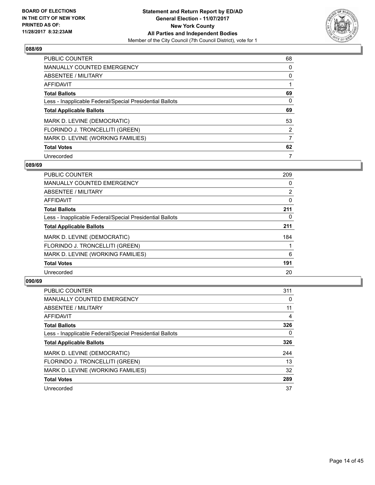

| <b>PUBLIC COUNTER</b>                                    | 68 |
|----------------------------------------------------------|----|
| <b>MANUALLY COUNTED EMERGENCY</b>                        | 0  |
| ABSENTEE / MILITARY                                      | 0  |
| AFFIDAVIT                                                |    |
| <b>Total Ballots</b>                                     | 69 |
| Less - Inapplicable Federal/Special Presidential Ballots | 0  |
| <b>Total Applicable Ballots</b>                          | 69 |
| MARK D. LEVINE (DEMOCRATIC)                              | 53 |
| FLORINDO J. TRONCELLITI (GREEN)                          | 2  |
| MARK D. LEVINE (WORKING FAMILIES)                        | 7  |
| <b>Total Votes</b>                                       | 62 |
| Unrecorded                                               | 7  |

#### **089/69**

| <b>PUBLIC COUNTER</b>                                    | 209            |
|----------------------------------------------------------|----------------|
| <b>MANUALLY COUNTED EMERGENCY</b>                        | 0              |
| ABSENTEE / MILITARY                                      | $\overline{2}$ |
| AFFIDAVIT                                                | 0              |
| <b>Total Ballots</b>                                     | 211            |
| Less - Inapplicable Federal/Special Presidential Ballots | 0              |
| <b>Total Applicable Ballots</b>                          | 211            |
| MARK D. LEVINE (DEMOCRATIC)                              | 184            |
| FLORINDO J. TRONCELLITI (GREEN)                          |                |
| MARK D. LEVINE (WORKING FAMILIES)                        | 6              |
| <b>Total Votes</b>                                       | 191            |
| Unrecorded                                               | 20             |

| <b>PUBLIC COUNTER</b>                                    | 311      |
|----------------------------------------------------------|----------|
| <b>MANUALLY COUNTED EMERGENCY</b>                        | $\Omega$ |
| ABSENTEE / MILITARY                                      | 11       |
| AFFIDAVIT                                                | 4        |
| <b>Total Ballots</b>                                     | 326      |
| Less - Inapplicable Federal/Special Presidential Ballots | 0        |
| <b>Total Applicable Ballots</b>                          | 326      |
| MARK D. LEVINE (DEMOCRATIC)                              | 244      |
| FLORINDO J. TRONCELLITI (GREEN)                          | 13       |
| MARK D. LEVINE (WORKING FAMILIES)                        | 32       |
| <b>Total Votes</b>                                       | 289      |
| Unrecorded                                               | 37       |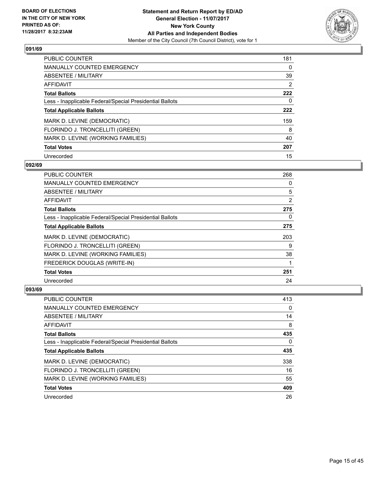

| <b>PUBLIC COUNTER</b>                                    | 181 |
|----------------------------------------------------------|-----|
| <b>MANUALLY COUNTED EMERGENCY</b>                        | 0   |
| ABSENTEE / MILITARY                                      | 39  |
| <b>AFFIDAVIT</b>                                         | 2   |
| <b>Total Ballots</b>                                     | 222 |
| Less - Inapplicable Federal/Special Presidential Ballots | 0   |
| <b>Total Applicable Ballots</b>                          | 222 |
| MARK D. LEVINE (DEMOCRATIC)                              | 159 |
| FLORINDO J. TRONCELLITI (GREEN)                          | 8   |
| MARK D. LEVINE (WORKING FAMILIES)                        | 40  |
| <b>Total Votes</b>                                       | 207 |
| Unrecorded                                               | 15  |

#### **092/69**

| <b>PUBLIC COUNTER</b>                                    | 268            |
|----------------------------------------------------------|----------------|
| <b>MANUALLY COUNTED EMERGENCY</b>                        | 0              |
| ABSENTEE / MILITARY                                      | 5              |
| <b>AFFIDAVIT</b>                                         | $\overline{2}$ |
| <b>Total Ballots</b>                                     | 275            |
| Less - Inapplicable Federal/Special Presidential Ballots | 0              |
| <b>Total Applicable Ballots</b>                          | 275            |
| MARK D. LEVINE (DEMOCRATIC)                              | 203            |
| FLORINDO J. TRONCELLITI (GREEN)                          | 9              |
| MARK D. LEVINE (WORKING FAMILIES)                        | 38             |
| FREDERICK DOUGLAS (WRITE-IN)                             |                |
| <b>Total Votes</b>                                       | 251            |
| Unrecorded                                               | 24             |

| PUBLIC COUNTER                                           | 413 |
|----------------------------------------------------------|-----|
| <b>MANUALLY COUNTED EMERGENCY</b>                        | 0   |
| ABSENTEE / MILITARY                                      | 14  |
| AFFIDAVIT                                                | 8   |
| <b>Total Ballots</b>                                     | 435 |
| Less - Inapplicable Federal/Special Presidential Ballots | 0   |
| <b>Total Applicable Ballots</b>                          | 435 |
| MARK D. LEVINE (DEMOCRATIC)                              | 338 |
| FLORINDO J. TRONCELLITI (GREEN)                          | 16  |
| MARK D. LEVINE (WORKING FAMILIES)                        | 55  |
| <b>Total Votes</b>                                       | 409 |
| Unrecorded                                               | 26  |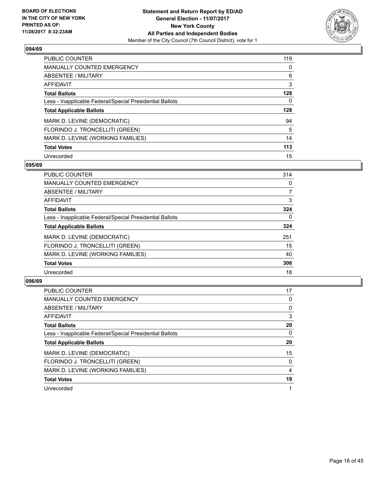

| <b>PUBLIC COUNTER</b>                                    | 119 |
|----------------------------------------------------------|-----|
| <b>MANUALLY COUNTED EMERGENCY</b>                        | 0   |
| ABSENTEE / MILITARY                                      | 6   |
| <b>AFFIDAVIT</b>                                         | 3   |
| <b>Total Ballots</b>                                     | 128 |
| Less - Inapplicable Federal/Special Presidential Ballots | 0   |
| <b>Total Applicable Ballots</b>                          | 128 |
| MARK D. LEVINE (DEMOCRATIC)                              | 94  |
| FLORINDO J. TRONCELLITI (GREEN)                          | 5   |
| MARK D. LEVINE (WORKING FAMILIES)                        | 14  |
| <b>Total Votes</b>                                       | 113 |
| Unrecorded                                               | 15  |

#### **095/69**

| <b>PUBLIC COUNTER</b>                                    | 314 |
|----------------------------------------------------------|-----|
| <b>MANUALLY COUNTED EMERGENCY</b>                        | 0   |
| ABSENTEE / MILITARY                                      | 7   |
| AFFIDAVIT                                                | 3   |
| <b>Total Ballots</b>                                     | 324 |
| Less - Inapplicable Federal/Special Presidential Ballots | 0   |
| <b>Total Applicable Ballots</b>                          | 324 |
| MARK D. LEVINE (DEMOCRATIC)                              | 251 |
| FLORINDO J. TRONCELLITI (GREEN)                          | 15  |
| MARK D. LEVINE (WORKING FAMILIES)                        | 40  |
| <b>Total Votes</b>                                       | 306 |
| Unrecorded                                               | 18  |

| <b>PUBLIC COUNTER</b>                                    | 17 |
|----------------------------------------------------------|----|
| <b>MANUALLY COUNTED EMERGENCY</b>                        | 0  |
| ABSENTEE / MILITARY                                      | 0  |
| AFFIDAVIT                                                | 3  |
| <b>Total Ballots</b>                                     | 20 |
| Less - Inapplicable Federal/Special Presidential Ballots | 0  |
| <b>Total Applicable Ballots</b>                          | 20 |
| MARK D. LEVINE (DEMOCRATIC)                              | 15 |
| FLORINDO J. TRONCELLITI (GREEN)                          | 0  |
| MARK D. LEVINE (WORKING FAMILIES)                        | 4  |
| <b>Total Votes</b>                                       | 19 |
| Unrecorded                                               |    |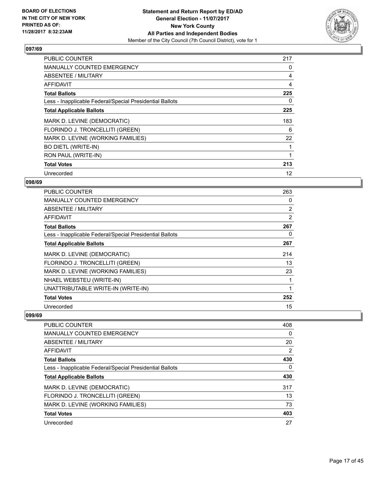

| <b>PUBLIC COUNTER</b>                                    | 217 |
|----------------------------------------------------------|-----|
| <b>MANUALLY COUNTED EMERGENCY</b>                        | 0   |
| ABSENTEE / MILITARY                                      | 4   |
| AFFIDAVIT                                                | 4   |
| <b>Total Ballots</b>                                     | 225 |
| Less - Inapplicable Federal/Special Presidential Ballots | 0   |
| <b>Total Applicable Ballots</b>                          | 225 |
| MARK D. LEVINE (DEMOCRATIC)                              | 183 |
| FLORINDO J. TRONCELLITI (GREEN)                          | 6   |
| MARK D. LEVINE (WORKING FAMILIES)                        | 22  |
| <b>BO DIETL (WRITE-IN)</b>                               |     |
| RON PAUL (WRITE-IN)                                      |     |
| <b>Total Votes</b>                                       | 213 |
| Unrecorded                                               | 12  |

## **098/69**

| <b>PUBLIC COUNTER</b>                                    | 263            |
|----------------------------------------------------------|----------------|
| <b>MANUALLY COUNTED EMERGENCY</b>                        | 0              |
| ABSENTEE / MILITARY                                      | $\overline{2}$ |
| AFFIDAVIT                                                | $\overline{2}$ |
| <b>Total Ballots</b>                                     | 267            |
| Less - Inapplicable Federal/Special Presidential Ballots | 0              |
| <b>Total Applicable Ballots</b>                          | 267            |
| MARK D. LEVINE (DEMOCRATIC)                              | 214            |
| FLORINDO J. TRONCELLITI (GREEN)                          | 13             |
| MARK D. LEVINE (WORKING FAMILIES)                        | 23             |
| NHAEL WEBSTEU (WRITE-IN)                                 |                |
| UNATTRIBUTABLE WRITE-IN (WRITE-IN)                       | 1              |
| <b>Total Votes</b>                                       | 252            |
| Unrecorded                                               | 15             |

| <b>PUBLIC COUNTER</b>                                    | 408 |
|----------------------------------------------------------|-----|
| MANUALLY COUNTED EMERGENCY                               | 0   |
| ABSENTEE / MILITARY                                      | 20  |
| AFFIDAVIT                                                | 2   |
| <b>Total Ballots</b>                                     | 430 |
| Less - Inapplicable Federal/Special Presidential Ballots | 0   |
| <b>Total Applicable Ballots</b>                          | 430 |
| MARK D. LEVINE (DEMOCRATIC)                              | 317 |
| FLORINDO J. TRONCELLITI (GREEN)                          | 13  |
| MARK D. LEVINE (WORKING FAMILIES)                        | 73  |
| <b>Total Votes</b>                                       | 403 |
| Unrecorded                                               | 27  |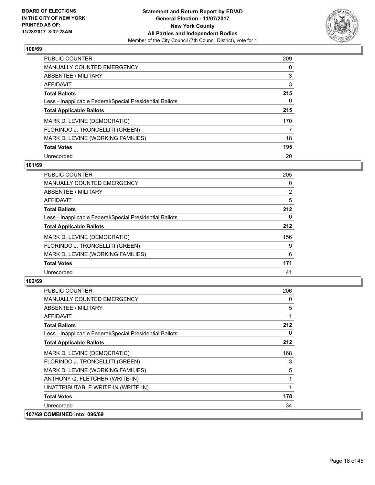

| <b>PUBLIC COUNTER</b>                                    | 209 |
|----------------------------------------------------------|-----|
| <b>MANUALLY COUNTED EMERGENCY</b>                        | 0   |
| ABSENTEE / MILITARY                                      | 3   |
| <b>AFFIDAVIT</b>                                         | 3   |
| <b>Total Ballots</b>                                     | 215 |
| Less - Inapplicable Federal/Special Presidential Ballots | 0   |
| <b>Total Applicable Ballots</b>                          | 215 |
| MARK D. LEVINE (DEMOCRATIC)                              | 170 |
| FLORINDO J. TRONCELLITI (GREEN)                          | 7   |
| MARK D. LEVINE (WORKING FAMILIES)                        | 18  |
| <b>Total Votes</b>                                       | 195 |
| Unrecorded                                               | 20  |

#### **101/69**

| <b>PUBLIC COUNTER</b>                                    | 205            |
|----------------------------------------------------------|----------------|
| <b>MANUALLY COUNTED EMERGENCY</b>                        | 0              |
| ABSENTEE / MILITARY                                      | $\overline{2}$ |
| <b>AFFIDAVIT</b>                                         | 5              |
| <b>Total Ballots</b>                                     | 212            |
| Less - Inapplicable Federal/Special Presidential Ballots | $\Omega$       |
| <b>Total Applicable Ballots</b>                          | 212            |
| MARK D. LEVINE (DEMOCRATIC)                              | 156            |
| FLORINDO J. TRONCELLITI (GREEN)                          | 9              |
| MARK D. LEVINE (WORKING FAMILIES)                        | 6              |
| <b>Total Votes</b>                                       | 171            |
| Unrecorded                                               | 41             |

| <b>PUBLIC COUNTER</b>                                    | 206 |
|----------------------------------------------------------|-----|
| <b>MANUALLY COUNTED EMERGENCY</b>                        | 0   |
| ABSENTEE / MILITARY                                      | 5   |
| AFFIDAVIT                                                |     |
| <b>Total Ballots</b>                                     | 212 |
| Less - Inapplicable Federal/Special Presidential Ballots | 0   |
| <b>Total Applicable Ballots</b>                          | 212 |
| MARK D. LEVINE (DEMOCRATIC)                              | 168 |
| FLORINDO J. TRONCELLITI (GREEN)                          | 3   |
| MARK D. LEVINE (WORKING FAMILIES)                        | 5   |
| ANTHONY Q. FLETCHER (WRITE-IN)                           | 1   |
| UNATTRIBUTABLE WRITE-IN (WRITE-IN)                       | 1   |
| <b>Total Votes</b>                                       | 178 |
| Unrecorded                                               | 34  |
| 107/69 COMBINED into: 096/69                             |     |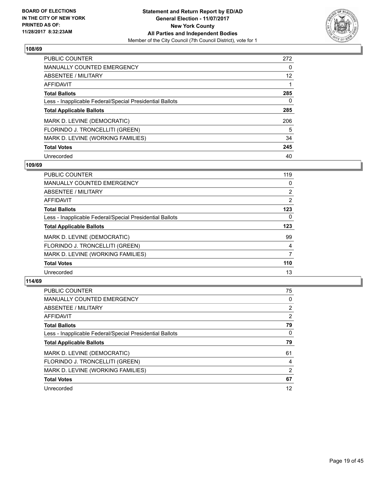

| <b>PUBLIC COUNTER</b>                                    | 272 |
|----------------------------------------------------------|-----|
| MANUALLY COUNTED EMERGENCY                               | 0   |
| ABSENTEE / MILITARY                                      | 12  |
| <b>AFFIDAVIT</b>                                         |     |
| <b>Total Ballots</b>                                     | 285 |
| Less - Inapplicable Federal/Special Presidential Ballots | 0   |
| <b>Total Applicable Ballots</b>                          | 285 |
| MARK D. LEVINE (DEMOCRATIC)                              | 206 |
| FLORINDO J. TRONCELLITI (GREEN)                          | 5   |
| MARK D. LEVINE (WORKING FAMILIES)                        | 34  |
| <b>Total Votes</b>                                       | 245 |
| Unrecorded                                               | 40  |

#### **109/69**

| <b>PUBLIC COUNTER</b>                                    | 119            |
|----------------------------------------------------------|----------------|
| <b>MANUALLY COUNTED EMERGENCY</b>                        | 0              |
| ABSENTEE / MILITARY                                      | $\overline{2}$ |
| AFFIDAVIT                                                | $\overline{2}$ |
| <b>Total Ballots</b>                                     | 123            |
| Less - Inapplicable Federal/Special Presidential Ballots | 0              |
| <b>Total Applicable Ballots</b>                          | 123            |
| MARK D. LEVINE (DEMOCRATIC)                              | 99             |
| FLORINDO J. TRONCELLITI (GREEN)                          | 4              |
| MARK D. LEVINE (WORKING FAMILIES)                        | 7              |
| <b>Total Votes</b>                                       | 110            |
| Unrecorded                                               | 13             |

| <b>PUBLIC COUNTER</b>                                    | 75             |
|----------------------------------------------------------|----------------|
| <b>MANUALLY COUNTED EMERGENCY</b>                        | 0              |
| ABSENTEE / MILITARY                                      | $\overline{2}$ |
| AFFIDAVIT                                                | $\overline{2}$ |
| <b>Total Ballots</b>                                     | 79             |
| Less - Inapplicable Federal/Special Presidential Ballots | 0              |
| <b>Total Applicable Ballots</b>                          | 79             |
| MARK D. LEVINE (DEMOCRATIC)                              | 61             |
| FLORINDO J. TRONCELLITI (GREEN)                          | 4              |
| MARK D. LEVINE (WORKING FAMILIES)                        | 2              |
| <b>Total Votes</b>                                       | 67             |
| Unrecorded                                               | 12             |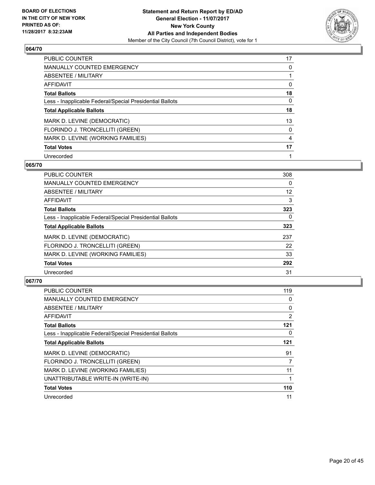

| <b>PUBLIC COUNTER</b>                                    | 17 |
|----------------------------------------------------------|----|
| <b>MANUALLY COUNTED EMERGENCY</b>                        | 0  |
| ABSENTEE / MILITARY                                      |    |
| <b>AFFIDAVIT</b>                                         | 0  |
| <b>Total Ballots</b>                                     | 18 |
| Less - Inapplicable Federal/Special Presidential Ballots | 0  |
| <b>Total Applicable Ballots</b>                          | 18 |
| MARK D. LEVINE (DEMOCRATIC)                              | 13 |
| FLORINDO J. TRONCELLITI (GREEN)                          | 0  |
| MARK D. LEVINE (WORKING FAMILIES)                        | 4  |
| <b>Total Votes</b>                                       | 17 |
| Unrecorded                                               |    |

#### **065/70**

| <b>PUBLIC COUNTER</b>                                    | 308      |
|----------------------------------------------------------|----------|
| <b>MANUALLY COUNTED EMERGENCY</b>                        | 0        |
| ABSENTEE / MILITARY                                      | 12       |
| <b>AFFIDAVIT</b>                                         | 3        |
| <b>Total Ballots</b>                                     | 323      |
| Less - Inapplicable Federal/Special Presidential Ballots | $\Omega$ |
| <b>Total Applicable Ballots</b>                          | 323      |
| MARK D. LEVINE (DEMOCRATIC)                              | 237      |
| FLORINDO J. TRONCELLITI (GREEN)                          | 22       |
| MARK D. LEVINE (WORKING FAMILIES)                        | 33       |
| <b>Total Votes</b>                                       | 292      |
| Unrecorded                                               | 31       |

| <b>PUBLIC COUNTER</b>                                    | 119 |
|----------------------------------------------------------|-----|
| <b>MANUALLY COUNTED EMERGENCY</b>                        | 0   |
| ABSENTEE / MILITARY                                      | 0   |
| AFFIDAVIT                                                | 2   |
| <b>Total Ballots</b>                                     | 121 |
| Less - Inapplicable Federal/Special Presidential Ballots | 0   |
| <b>Total Applicable Ballots</b>                          | 121 |
| MARK D. LEVINE (DEMOCRATIC)                              | 91  |
| FLORINDO J. TRONCELLITI (GREEN)                          | 7   |
| MARK D. LEVINE (WORKING FAMILIES)                        | 11  |
| UNATTRIBUTABLE WRITE-IN (WRITE-IN)                       |     |
| <b>Total Votes</b>                                       | 110 |
| Unrecorded                                               | 11  |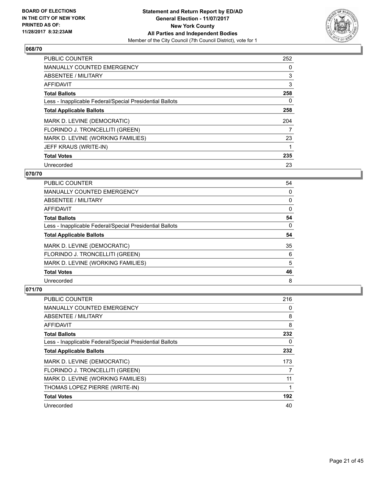

| <b>PUBLIC COUNTER</b>                                    | 252 |
|----------------------------------------------------------|-----|
| <b>MANUALLY COUNTED EMERGENCY</b>                        | 0   |
| ABSENTEE / MILITARY                                      | 3   |
| AFFIDAVIT                                                | 3   |
| <b>Total Ballots</b>                                     | 258 |
| Less - Inapplicable Federal/Special Presidential Ballots | 0   |
| <b>Total Applicable Ballots</b>                          | 258 |
| MARK D. LEVINE (DEMOCRATIC)                              | 204 |
| FLORINDO J. TRONCELLITI (GREEN)                          | 7   |
| MARK D. LEVINE (WORKING FAMILIES)                        | 23  |
| JEFF KRAUS (WRITE-IN)                                    |     |
| <b>Total Votes</b>                                       | 235 |
| Unrecorded                                               | 23  |

## **070/70**

| <b>PUBLIC COUNTER</b>                                    | 54 |
|----------------------------------------------------------|----|
| <b>MANUALLY COUNTED EMERGENCY</b>                        | 0  |
| ABSENTEE / MILITARY                                      | 0  |
| AFFIDAVIT                                                | 0  |
| <b>Total Ballots</b>                                     | 54 |
| Less - Inapplicable Federal/Special Presidential Ballots | 0  |
| <b>Total Applicable Ballots</b>                          | 54 |
| MARK D. LEVINE (DEMOCRATIC)                              | 35 |
| FLORINDO J. TRONCELLITI (GREEN)                          | 6  |
| MARK D. LEVINE (WORKING FAMILIES)                        | 5  |
|                                                          |    |
| <b>Total Votes</b>                                       | 46 |

| PUBLIC COUNTER                                           | 216 |
|----------------------------------------------------------|-----|
| <b>MANUALLY COUNTED EMERGENCY</b>                        | 0   |
| ABSENTEE / MILITARY                                      | 8   |
| AFFIDAVIT                                                | 8   |
| <b>Total Ballots</b>                                     | 232 |
| Less - Inapplicable Federal/Special Presidential Ballots | 0   |
| <b>Total Applicable Ballots</b>                          | 232 |
| MARK D. LEVINE (DEMOCRATIC)                              | 173 |
| FLORINDO J. TRONCELLITI (GREEN)                          | 7   |
| MARK D. LEVINE (WORKING FAMILIES)                        | 11  |
| THOMAS LOPEZ PIERRE (WRITE-IN)                           |     |
| <b>Total Votes</b>                                       | 192 |
| Unrecorded                                               | 40  |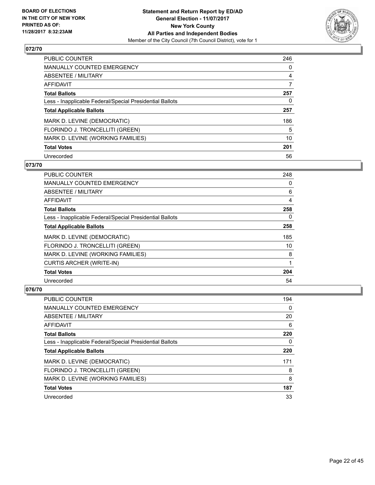

| <b>PUBLIC COUNTER</b>                                    | 246 |
|----------------------------------------------------------|-----|
| <b>MANUALLY COUNTED EMERGENCY</b>                        | 0   |
| ABSENTEE / MILITARY                                      | 4   |
| <b>AFFIDAVIT</b>                                         | 7   |
| <b>Total Ballots</b>                                     | 257 |
| Less - Inapplicable Federal/Special Presidential Ballots | 0   |
| <b>Total Applicable Ballots</b>                          | 257 |
| MARK D. LEVINE (DEMOCRATIC)                              | 186 |
| FLORINDO J. TRONCELLITI (GREEN)                          | 5   |
| MARK D. LEVINE (WORKING FAMILIES)                        | 10  |
| <b>Total Votes</b>                                       | 201 |
| Unrecorded                                               | 56  |

#### **073/70**

| <b>PUBLIC COUNTER</b>                                    | 248 |
|----------------------------------------------------------|-----|
| <b>MANUALLY COUNTED EMERGENCY</b>                        | 0   |
| ABSENTEE / MILITARY                                      | 6   |
| AFFIDAVIT                                                | 4   |
| <b>Total Ballots</b>                                     | 258 |
| Less - Inapplicable Federal/Special Presidential Ballots | 0   |
| <b>Total Applicable Ballots</b>                          | 258 |
| MARK D. LEVINE (DEMOCRATIC)                              | 185 |
| FLORINDO J. TRONCELLITI (GREEN)                          | 10  |
| MARK D. LEVINE (WORKING FAMILIES)                        | 8   |
| <b>CURTIS ARCHER (WRITE-IN)</b>                          | 1   |
| <b>Total Votes</b>                                       | 204 |
| Unrecorded                                               | 54  |

| PUBLIC COUNTER                                           | 194 |
|----------------------------------------------------------|-----|
| <b>MANUALLY COUNTED EMERGENCY</b>                        | 0   |
| ABSENTEE / MILITARY                                      | 20  |
| AFFIDAVIT                                                | 6   |
| <b>Total Ballots</b>                                     | 220 |
| Less - Inapplicable Federal/Special Presidential Ballots | 0   |
| <b>Total Applicable Ballots</b>                          | 220 |
| MARK D. LEVINE (DEMOCRATIC)                              | 171 |
| FLORINDO J. TRONCELLITI (GREEN)                          | 8   |
| MARK D. LEVINE (WORKING FAMILIES)                        | 8   |
| <b>Total Votes</b>                                       | 187 |
| Unrecorded                                               | 33  |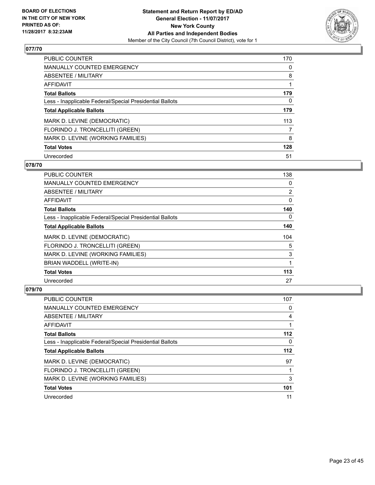

| <b>PUBLIC COUNTER</b>                                    | 170 |
|----------------------------------------------------------|-----|
| <b>MANUALLY COUNTED EMERGENCY</b>                        | 0   |
| ABSENTEE / MILITARY                                      | 8   |
| <b>AFFIDAVIT</b>                                         |     |
| <b>Total Ballots</b>                                     | 179 |
| Less - Inapplicable Federal/Special Presidential Ballots | 0   |
| <b>Total Applicable Ballots</b>                          | 179 |
| MARK D. LEVINE (DEMOCRATIC)                              | 113 |
| FLORINDO J. TRONCELLITI (GREEN)                          | 7   |
| MARK D. LEVINE (WORKING FAMILIES)                        | 8   |
| <b>Total Votes</b>                                       | 128 |
| Unrecorded                                               | 51  |

#### **078/70**

| <b>PUBLIC COUNTER</b>                                    | 138            |
|----------------------------------------------------------|----------------|
| <b>MANUALLY COUNTED EMERGENCY</b>                        | 0              |
| ABSENTEE / MILITARY                                      | $\overline{2}$ |
| <b>AFFIDAVIT</b>                                         | 0              |
| <b>Total Ballots</b>                                     | 140            |
| Less - Inapplicable Federal/Special Presidential Ballots | $\Omega$       |
| <b>Total Applicable Ballots</b>                          | 140            |
| MARK D. LEVINE (DEMOCRATIC)                              | 104            |
| FLORINDO J. TRONCELLITI (GREEN)                          | 5              |
| MARK D. LEVINE (WORKING FAMILIES)                        | 3              |
| BRIAN WADDELL (WRITE-IN)                                 | 1              |
| <b>Total Votes</b>                                       | 113            |
| Unrecorded                                               | 27             |

| <b>PUBLIC COUNTER</b>                                    | 107 |
|----------------------------------------------------------|-----|
| <b>MANUALLY COUNTED EMERGENCY</b>                        | 0   |
| ABSENTEE / MILITARY                                      | 4   |
| AFFIDAVIT                                                |     |
| <b>Total Ballots</b>                                     | 112 |
| Less - Inapplicable Federal/Special Presidential Ballots | 0   |
| <b>Total Applicable Ballots</b>                          | 112 |
| MARK D. LEVINE (DEMOCRATIC)                              | 97  |
| FLORINDO J. TRONCELLITI (GREEN)                          |     |
| MARK D. LEVINE (WORKING FAMILIES)                        | 3   |
| <b>Total Votes</b>                                       | 101 |
| Unrecorded                                               | 11  |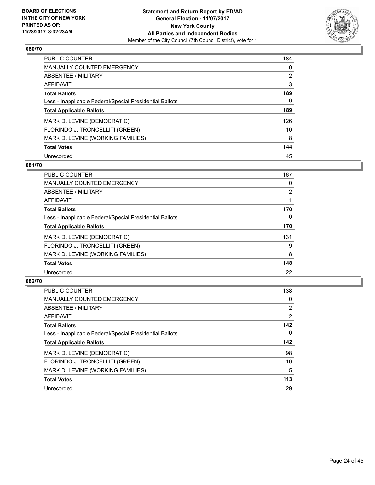

| <b>PUBLIC COUNTER</b>                                    | 184            |
|----------------------------------------------------------|----------------|
| MANUALLY COUNTED EMERGENCY                               | 0              |
| ABSENTEE / MILITARY                                      | $\overline{2}$ |
| <b>AFFIDAVIT</b>                                         | 3              |
| <b>Total Ballots</b>                                     | 189            |
| Less - Inapplicable Federal/Special Presidential Ballots | 0              |
| <b>Total Applicable Ballots</b>                          | 189            |
| MARK D. LEVINE (DEMOCRATIC)                              | 126            |
| FLORINDO J. TRONCELLITI (GREEN)                          | 10             |
| MARK D. LEVINE (WORKING FAMILIES)                        | 8              |
| <b>Total Votes</b>                                       | 144            |
| Unrecorded                                               | 45             |

#### **081/70**

| <b>PUBLIC COUNTER</b>                                    | 167      |
|----------------------------------------------------------|----------|
| <b>MANUALLY COUNTED EMERGENCY</b>                        | 0        |
| ABSENTEE / MILITARY                                      | 2        |
| <b>AFFIDAVIT</b>                                         |          |
| <b>Total Ballots</b>                                     | 170      |
| Less - Inapplicable Federal/Special Presidential Ballots | $\Omega$ |
| <b>Total Applicable Ballots</b>                          | 170      |
| MARK D. LEVINE (DEMOCRATIC)                              | 131      |
| FLORINDO J. TRONCELLITI (GREEN)                          | 9        |
| MARK D. LEVINE (WORKING FAMILIES)                        | 8        |
| <b>Total Votes</b>                                       | 148      |
| Unrecorded                                               | 22       |

| <b>PUBLIC COUNTER</b>                                    | 138            |
|----------------------------------------------------------|----------------|
| <b>MANUALLY COUNTED EMERGENCY</b>                        | 0              |
| ABSENTEE / MILITARY                                      | $\overline{2}$ |
| AFFIDAVIT                                                | $\overline{2}$ |
| <b>Total Ballots</b>                                     | 142            |
| Less - Inapplicable Federal/Special Presidential Ballots | 0              |
| <b>Total Applicable Ballots</b>                          | 142            |
| MARK D. LEVINE (DEMOCRATIC)                              | 98             |
|                                                          |                |
| FLORINDO J. TRONCELLITI (GREEN)                          | 10             |
| MARK D. LEVINE (WORKING FAMILIES)                        | 5              |
| <b>Total Votes</b>                                       | 113            |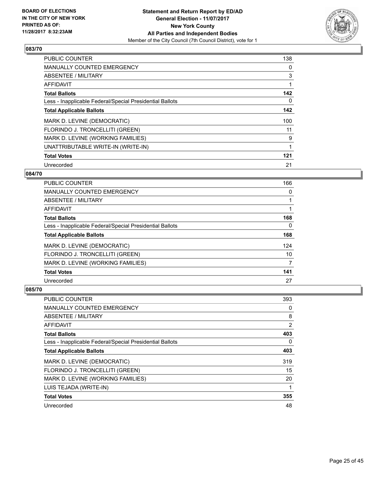

| <b>PUBLIC COUNTER</b>                                    | 138 |
|----------------------------------------------------------|-----|
| <b>MANUALLY COUNTED EMERGENCY</b>                        | 0   |
| ABSENTEE / MILITARY                                      | 3   |
| <b>AFFIDAVIT</b>                                         | 1   |
| <b>Total Ballots</b>                                     | 142 |
| Less - Inapplicable Federal/Special Presidential Ballots | 0   |
| <b>Total Applicable Ballots</b>                          | 142 |
| MARK D. LEVINE (DEMOCRATIC)                              | 100 |
| FLORINDO J. TRONCELLITI (GREEN)                          | 11  |
| MARK D. LEVINE (WORKING FAMILIES)                        | 9   |
| UNATTRIBUTABLE WRITE-IN (WRITE-IN)                       | 1   |
| <b>Total Votes</b>                                       | 121 |
| Unrecorded                                               | 21  |

#### **084/70**

| <b>PUBLIC COUNTER</b>                                    | 166 |
|----------------------------------------------------------|-----|
| <b>MANUALLY COUNTED EMERGENCY</b>                        | 0   |
| ABSENTEE / MILITARY                                      |     |
| AFFIDAVIT                                                |     |
| <b>Total Ballots</b>                                     | 168 |
| Less - Inapplicable Federal/Special Presidential Ballots | 0   |
| <b>Total Applicable Ballots</b>                          | 168 |
| MARK D. LEVINE (DEMOCRATIC)                              | 124 |
| FLORINDO J. TRONCELLITI (GREEN)                          | 10  |
| MARK D. LEVINE (WORKING FAMILIES)                        | 7   |
| <b>Total Votes</b>                                       | 141 |
| Unrecorded                                               | 27  |

| <b>PUBLIC COUNTER</b>                                    | 393 |
|----------------------------------------------------------|-----|
| <b>MANUALLY COUNTED EMERGENCY</b>                        | 0   |
| ABSENTEE / MILITARY                                      | 8   |
| AFFIDAVIT                                                | 2   |
| <b>Total Ballots</b>                                     | 403 |
| Less - Inapplicable Federal/Special Presidential Ballots | 0   |
| <b>Total Applicable Ballots</b>                          | 403 |
| MARK D. LEVINE (DEMOCRATIC)                              | 319 |
| FLORINDO J. TRONCELLITI (GREEN)                          | 15  |
| MARK D. LEVINE (WORKING FAMILIES)                        | 20  |
| LUIS TEJADA (WRITE-IN)                                   |     |
| <b>Total Votes</b>                                       | 355 |
| Unrecorded                                               | 48  |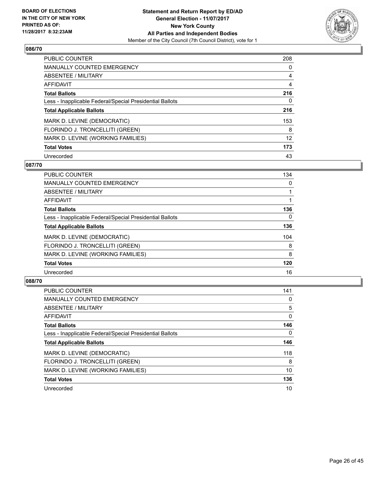

| <b>PUBLIC COUNTER</b>                                    | 208 |
|----------------------------------------------------------|-----|
| <b>MANUALLY COUNTED EMERGENCY</b>                        | 0   |
| ABSENTEE / MILITARY                                      | 4   |
| <b>AFFIDAVIT</b>                                         | 4   |
| <b>Total Ballots</b>                                     | 216 |
| Less - Inapplicable Federal/Special Presidential Ballots | 0   |
| <b>Total Applicable Ballots</b>                          | 216 |
| MARK D. LEVINE (DEMOCRATIC)                              | 153 |
| FLORINDO J. TRONCELLITI (GREEN)                          | 8   |
| MARK D. LEVINE (WORKING FAMILIES)                        | 12  |
| <b>Total Votes</b>                                       | 173 |
| Unrecorded                                               | 43  |

#### **087/70**

| <b>PUBLIC COUNTER</b>                                    | 134      |
|----------------------------------------------------------|----------|
| <b>MANUALLY COUNTED EMERGENCY</b>                        | 0        |
| ABSENTEE / MILITARY                                      |          |
| <b>AFFIDAVIT</b>                                         |          |
| <b>Total Ballots</b>                                     | 136      |
| Less - Inapplicable Federal/Special Presidential Ballots | $\Omega$ |
| <b>Total Applicable Ballots</b>                          | 136      |
| MARK D. LEVINE (DEMOCRATIC)                              | 104      |
| FLORINDO J. TRONCELLITI (GREEN)                          | 8        |
| MARK D. LEVINE (WORKING FAMILIES)                        | 8        |
| <b>Total Votes</b>                                       | 120      |
| Unrecorded                                               | 16       |

| <b>PUBLIC COUNTER</b>                                    | 141 |
|----------------------------------------------------------|-----|
| <b>MANUALLY COUNTED EMERGENCY</b>                        | 0   |
| ABSENTEE / MILITARY                                      | 5   |
| AFFIDAVIT                                                | 0   |
| <b>Total Ballots</b>                                     | 146 |
| Less - Inapplicable Federal/Special Presidential Ballots | 0   |
| <b>Total Applicable Ballots</b>                          | 146 |
| MARK D. LEVINE (DEMOCRATIC)                              | 118 |
| FLORINDO J. TRONCELLITI (GREEN)                          | 8   |
| MARK D. LEVINE (WORKING FAMILIES)                        | 10  |
| <b>Total Votes</b>                                       | 136 |
| Unrecorded                                               | 10  |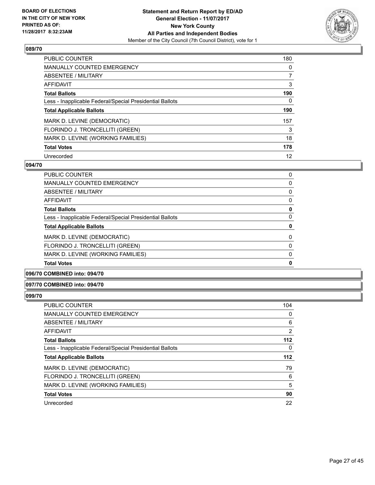

| <b>PUBLIC COUNTER</b>                                    | 180 |
|----------------------------------------------------------|-----|
| <b>MANUALLY COUNTED EMERGENCY</b>                        | 0   |
| ABSENTEE / MILITARY                                      | 7   |
| AFFIDAVIT                                                | 3   |
| <b>Total Ballots</b>                                     | 190 |
| Less - Inapplicable Federal/Special Presidential Ballots | 0   |
| <b>Total Applicable Ballots</b>                          | 190 |
| MARK D. LEVINE (DEMOCRATIC)                              | 157 |
| FLORINDO J. TRONCELLITI (GREEN)                          | 3   |
| MARK D. LEVINE (WORKING FAMILIES)                        | 18  |
| <b>Total Votes</b>                                       | 178 |
| Unrecorded                                               | 12  |

#### **094/70**

| <b>MANUALLY COUNTED EMERGENCY</b>                        | 0 |
|----------------------------------------------------------|---|
| ABSENTEE / MILITARY                                      | 0 |
| AFFIDAVIT                                                | 0 |
| <b>Total Ballots</b>                                     | 0 |
| Less - Inapplicable Federal/Special Presidential Ballots | 0 |
| <b>Total Applicable Ballots</b>                          | 0 |
| MARK D. LEVINE (DEMOCRATIC)                              | 0 |
| FLORINDO J. TRONCELLITI (GREEN)                          | 0 |
| MARK D. LEVINE (WORKING FAMILIES)                        | 0 |
|                                                          |   |
| <b>Total Votes</b>                                       | 0 |

#### **096/70 COMBINED into: 094/70**

#### **097/70 COMBINED into: 094/70**

| <b>PUBLIC COUNTER</b>                                    | 104   |
|----------------------------------------------------------|-------|
| MANUALLY COUNTED EMERGENCY                               | 0     |
| ABSENTEE / MILITARY                                      | 6     |
| AFFIDAVIT                                                | 2     |
| <b>Total Ballots</b>                                     | $112$ |
| Less - Inapplicable Federal/Special Presidential Ballots | 0     |
| <b>Total Applicable Ballots</b>                          | $112$ |
| MARK D. LEVINE (DEMOCRATIC)                              | 79    |
| FLORINDO J. TRONCELLITI (GREEN)                          | 6     |
| MARK D. LEVINE (WORKING FAMILIES)                        | 5     |
| <b>Total Votes</b>                                       | 90    |
| Unrecorded                                               | 22    |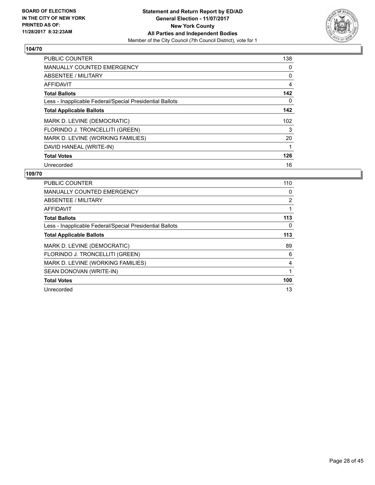

| <b>PUBLIC COUNTER</b>                                    | 138 |
|----------------------------------------------------------|-----|
| <b>MANUALLY COUNTED EMERGENCY</b>                        | 0   |
| ABSENTEE / MILITARY                                      | 0   |
| AFFIDAVIT                                                | 4   |
| <b>Total Ballots</b>                                     | 142 |
| Less - Inapplicable Federal/Special Presidential Ballots | 0   |
| <b>Total Applicable Ballots</b>                          | 142 |
| MARK D. LEVINE (DEMOCRATIC)                              | 102 |
| FLORINDO J. TRONCELLITI (GREEN)                          | 3   |
| MARK D. LEVINE (WORKING FAMILIES)                        | 20  |
| DAVID HANEAL (WRITE-IN)                                  |     |
| <b>Total Votes</b>                                       | 126 |
| Unrecorded                                               | 16  |

| PUBLIC COUNTER                                           | 110 |
|----------------------------------------------------------|-----|
| <b>MANUALLY COUNTED EMERGENCY</b>                        | 0   |
| ABSENTEE / MILITARY                                      | 2   |
| AFFIDAVIT                                                | 1   |
| <b>Total Ballots</b>                                     | 113 |
| Less - Inapplicable Federal/Special Presidential Ballots | 0   |
| <b>Total Applicable Ballots</b>                          | 113 |
| MARK D. LEVINE (DEMOCRATIC)                              | 89  |
| FLORINDO J. TRONCELLITI (GREEN)                          | 6   |
| MARK D. LEVINE (WORKING FAMILIES)                        | 4   |
| SEAN DONOVAN (WRITE-IN)                                  | 1   |
| <b>Total Votes</b>                                       | 100 |
| Unrecorded                                               | 13  |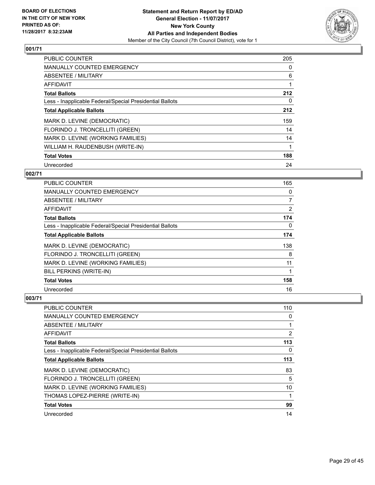

| <b>PUBLIC COUNTER</b>                                    | 205 |
|----------------------------------------------------------|-----|
| <b>MANUALLY COUNTED EMERGENCY</b>                        | 0   |
| <b>ABSENTEE / MILITARY</b>                               | 6   |
| <b>AFFIDAVIT</b>                                         |     |
| <b>Total Ballots</b>                                     | 212 |
| Less - Inapplicable Federal/Special Presidential Ballots | 0   |
| <b>Total Applicable Ballots</b>                          | 212 |
| MARK D. LEVINE (DEMOCRATIC)                              | 159 |
| FLORINDO J. TRONCELLITI (GREEN)                          | 14  |
| MARK D. LEVINE (WORKING FAMILIES)                        | 14  |
| WILLIAM H. RAUDENBUSH (WRITE-IN)                         |     |
| <b>Total Votes</b>                                       | 188 |
| Unrecorded                                               | 24  |

#### **002/71**

| <b>PUBLIC COUNTER</b>                                    | 165            |
|----------------------------------------------------------|----------------|
| <b>MANUALLY COUNTED EMERGENCY</b>                        | 0              |
| ABSENTEE / MILITARY                                      | $\overline{7}$ |
| AFFIDAVIT                                                | $\overline{2}$ |
| <b>Total Ballots</b>                                     | 174            |
| Less - Inapplicable Federal/Special Presidential Ballots | 0              |
| <b>Total Applicable Ballots</b>                          | 174            |
| MARK D. LEVINE (DEMOCRATIC)                              | 138            |
| FLORINDO J. TRONCELLITI (GREEN)                          | 8              |
| MARK D. LEVINE (WORKING FAMILIES)                        | 11             |
| <b>BILL PERKINS (WRITE-IN)</b>                           |                |
| <b>Total Votes</b>                                       | 158            |
| Unrecorded                                               | 16             |

| PUBLIC COUNTER                                           | 110 |
|----------------------------------------------------------|-----|
| <b>MANUALLY COUNTED EMERGENCY</b>                        | 0   |
| ABSENTEE / MILITARY                                      | 1   |
| AFFIDAVIT                                                | 2   |
| <b>Total Ballots</b>                                     | 113 |
| Less - Inapplicable Federal/Special Presidential Ballots | 0   |
| <b>Total Applicable Ballots</b>                          | 113 |
| MARK D. LEVINE (DEMOCRATIC)                              | 83  |
| FLORINDO J. TRONCELLITI (GREEN)                          | 5   |
| MARK D. LEVINE (WORKING FAMILIES)                        | 10  |
| THOMAS LOPEZ-PIERRE (WRITE-IN)                           | 1   |
| <b>Total Votes</b>                                       | 99  |
| Unrecorded                                               | 14  |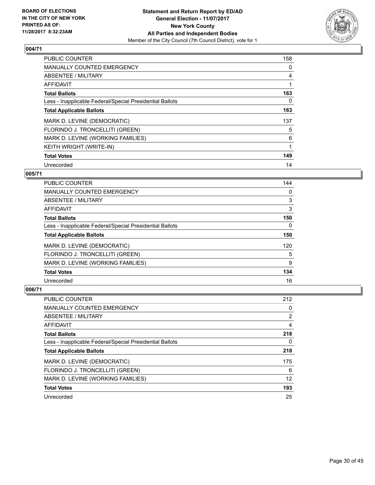

| <b>PUBLIC COUNTER</b>                                    | 158 |
|----------------------------------------------------------|-----|
| <b>MANUALLY COUNTED EMERGENCY</b>                        | 0   |
| ABSENTEE / MILITARY                                      | 4   |
| <b>AFFIDAVIT</b>                                         |     |
| <b>Total Ballots</b>                                     | 163 |
| Less - Inapplicable Federal/Special Presidential Ballots | 0   |
| <b>Total Applicable Ballots</b>                          | 163 |
| MARK D. LEVINE (DEMOCRATIC)                              | 137 |
| FLORINDO J. TRONCELLITI (GREEN)                          | 5   |
| MARK D. LEVINE (WORKING FAMILIES)                        | 6   |
| KEITH WRIGHT (WRITE-IN)                                  |     |
| <b>Total Votes</b>                                       | 149 |
| Unrecorded                                               | 14  |

#### **005/71**

| PUBLIC COUNTER                                           | 144 |
|----------------------------------------------------------|-----|
| <b>MANUALLY COUNTED EMERGENCY</b>                        | 0   |
| ABSENTEE / MILITARY                                      | 3   |
| <b>AFFIDAVIT</b>                                         | 3   |
| <b>Total Ballots</b>                                     | 150 |
| Less - Inapplicable Federal/Special Presidential Ballots | 0   |
| <b>Total Applicable Ballots</b>                          | 150 |
| MARK D. LEVINE (DEMOCRATIC)                              | 120 |
| FLORINDO J. TRONCELLITI (GREEN)                          | 5   |
| MARK D. LEVINE (WORKING FAMILIES)                        | 9   |
| <b>Total Votes</b>                                       | 134 |
| Unrecorded                                               | 16  |

| PUBLIC COUNTER                                           | 212            |
|----------------------------------------------------------|----------------|
| <b>MANUALLY COUNTED EMERGENCY</b>                        | 0              |
| ABSENTEE / MILITARY                                      | $\overline{2}$ |
| AFFIDAVIT                                                | 4              |
| <b>Total Ballots</b>                                     | 218            |
| Less - Inapplicable Federal/Special Presidential Ballots | 0              |
| <b>Total Applicable Ballots</b>                          | 218            |
| MARK D. LEVINE (DEMOCRATIC)                              | 175            |
| FLORINDO J. TRONCELLITI (GREEN)                          | 6              |
| MARK D. LEVINE (WORKING FAMILIES)                        | 12             |
| <b>Total Votes</b>                                       | 193            |
| Unrecorded                                               | 25             |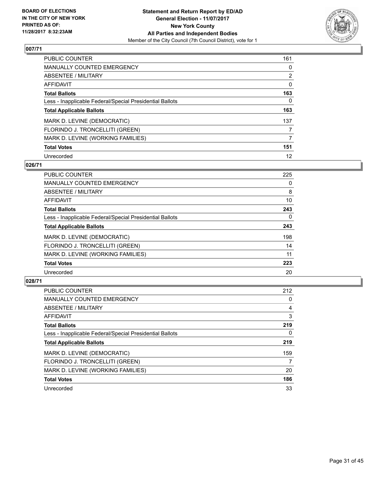

| <b>PUBLIC COUNTER</b>                                    | 161            |
|----------------------------------------------------------|----------------|
| <b>MANUALLY COUNTED EMERGENCY</b>                        | 0              |
| ABSENTEE / MILITARY                                      | $\overline{2}$ |
| <b>AFFIDAVIT</b>                                         | 0              |
| <b>Total Ballots</b>                                     | 163            |
| Less - Inapplicable Federal/Special Presidential Ballots | 0              |
| <b>Total Applicable Ballots</b>                          | 163            |
| MARK D. LEVINE (DEMOCRATIC)                              | 137            |
| FLORINDO J. TRONCELLITI (GREEN)                          | 7              |
| MARK D. LEVINE (WORKING FAMILIES)                        | 7              |
| <b>Total Votes</b>                                       | 151            |
| Unrecorded                                               | 12             |

#### **026/71**

| <b>PUBLIC COUNTER</b>                                    | 225      |
|----------------------------------------------------------|----------|
| <b>MANUALLY COUNTED EMERGENCY</b>                        | 0        |
| ABSENTEE / MILITARY                                      | 8        |
| <b>AFFIDAVIT</b>                                         | 10       |
| <b>Total Ballots</b>                                     | 243      |
| Less - Inapplicable Federal/Special Presidential Ballots | $\Omega$ |
| <b>Total Applicable Ballots</b>                          | 243      |
| MARK D. LEVINE (DEMOCRATIC)                              | 198      |
| FLORINDO J. TRONCELLITI (GREEN)                          | 14       |
| MARK D. LEVINE (WORKING FAMILIES)                        | 11       |
| <b>Total Votes</b>                                       | 223      |
| Unrecorded                                               | 20       |

| <b>PUBLIC COUNTER</b>                                    | 212 |
|----------------------------------------------------------|-----|
| <b>MANUALLY COUNTED EMERGENCY</b>                        | 0   |
| ABSENTEE / MILITARY                                      | 4   |
| AFFIDAVIT                                                | 3   |
| <b>Total Ballots</b>                                     | 219 |
| Less - Inapplicable Federal/Special Presidential Ballots | 0   |
| <b>Total Applicable Ballots</b>                          | 219 |
| MARK D. LEVINE (DEMOCRATIC)                              | 159 |
| FLORINDO J. TRONCELLITI (GREEN)                          | 7   |
| MARK D. LEVINE (WORKING FAMILIES)                        | 20  |
| <b>Total Votes</b>                                       | 186 |
| Unrecorded                                               | 33  |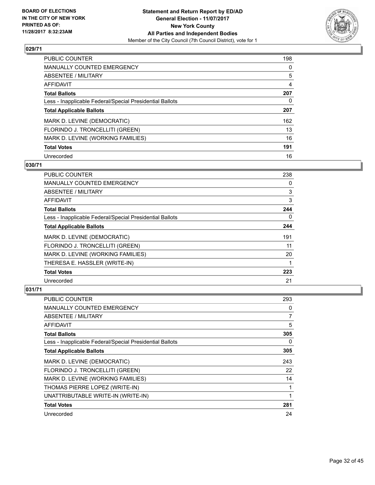

| PUBLIC COUNTER                                           | 198 |
|----------------------------------------------------------|-----|
| <b>MANUALLY COUNTED EMERGENCY</b>                        | 0   |
| ABSENTEE / MILITARY                                      | 5   |
| AFFIDAVIT                                                | 4   |
| <b>Total Ballots</b>                                     | 207 |
| Less - Inapplicable Federal/Special Presidential Ballots | 0   |
| <b>Total Applicable Ballots</b>                          | 207 |
| MARK D. LEVINE (DEMOCRATIC)                              | 162 |
| FLORINDO J. TRONCELLITI (GREEN)                          | 13  |
| MARK D. LEVINE (WORKING FAMILIES)                        | 16  |
| <b>Total Votes</b>                                       | 191 |
| Unrecorded                                               | 16  |

#### **030/71**

| <b>PUBLIC COUNTER</b>                                    | 238 |
|----------------------------------------------------------|-----|
| <b>MANUALLY COUNTED EMERGENCY</b>                        | 0   |
| ABSENTEE / MILITARY                                      | 3   |
| AFFIDAVIT                                                | 3   |
| <b>Total Ballots</b>                                     | 244 |
| Less - Inapplicable Federal/Special Presidential Ballots | 0   |
| <b>Total Applicable Ballots</b>                          | 244 |
| MARK D. LEVINE (DEMOCRATIC)                              | 191 |
| FLORINDO J. TRONCELLITI (GREEN)                          | 11  |
| MARK D. LEVINE (WORKING FAMILIES)                        | 20  |
| THERESA E. HASSLER (WRITE-IN)                            |     |
| <b>Total Votes</b>                                       | 223 |
| Unrecorded                                               | 21  |

| <b>PUBLIC COUNTER</b>                                    | 293 |
|----------------------------------------------------------|-----|
| <b>MANUALLY COUNTED EMERGENCY</b>                        | 0   |
| <b>ABSENTEE / MILITARY</b>                               | 7   |
| AFFIDAVIT                                                | 5   |
| <b>Total Ballots</b>                                     | 305 |
| Less - Inapplicable Federal/Special Presidential Ballots | 0   |
| <b>Total Applicable Ballots</b>                          | 305 |
| MARK D. LEVINE (DEMOCRATIC)                              | 243 |
| FLORINDO J. TRONCELLITI (GREEN)                          | 22  |
| MARK D. LEVINE (WORKING FAMILIES)                        | 14  |
| THOMAS PIERRE LOPEZ (WRITE-IN)                           | 1   |
| UNATTRIBUTABLE WRITE-IN (WRITE-IN)                       | 1   |
| <b>Total Votes</b>                                       | 281 |
| Unrecorded                                               | 24  |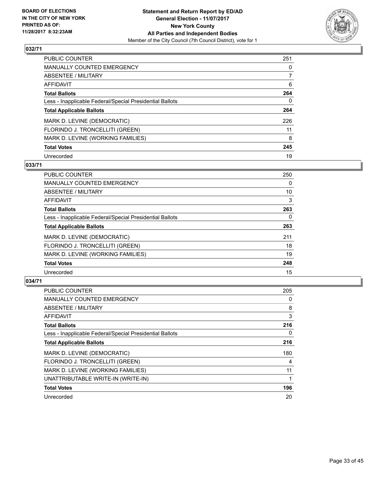

| <b>PUBLIC COUNTER</b>                                    | 251 |
|----------------------------------------------------------|-----|
| MANUALLY COUNTED EMERGENCY                               | 0   |
| ABSENTEE / MILITARY                                      |     |
| AFFIDAVIT                                                | 6   |
| <b>Total Ballots</b>                                     | 264 |
| Less - Inapplicable Federal/Special Presidential Ballots | 0   |
| <b>Total Applicable Ballots</b>                          | 264 |
| MARK D. LEVINE (DEMOCRATIC)                              | 226 |
| FLORINDO J. TRONCELLITI (GREEN)                          | 11  |
| MARK D. LEVINE (WORKING FAMILIES)                        | 8   |
| <b>Total Votes</b>                                       | 245 |
| Unrecorded                                               | 19  |

#### **033/71**

| <b>PUBLIC COUNTER</b>                                    | 250      |
|----------------------------------------------------------|----------|
| <b>MANUALLY COUNTED EMERGENCY</b>                        | 0        |
| ABSENTEE / MILITARY                                      | 10       |
| AFFIDAVIT                                                | 3        |
| <b>Total Ballots</b>                                     | 263      |
| Less - Inapplicable Federal/Special Presidential Ballots | $\Omega$ |
| <b>Total Applicable Ballots</b>                          | 263      |
| MARK D. LEVINE (DEMOCRATIC)                              | 211      |
| FLORINDO J. TRONCELLITI (GREEN)                          | 18       |
| MARK D. LEVINE (WORKING FAMILIES)                        | 19       |
| <b>Total Votes</b>                                       | 248      |
| Unrecorded                                               | 15       |

| PUBLIC COUNTER                                           | 205 |
|----------------------------------------------------------|-----|
| <b>MANUALLY COUNTED EMERGENCY</b>                        | 0   |
| ABSENTEE / MILITARY                                      | 8   |
| AFFIDAVIT                                                | 3   |
| <b>Total Ballots</b>                                     | 216 |
| Less - Inapplicable Federal/Special Presidential Ballots | 0   |
| <b>Total Applicable Ballots</b>                          | 216 |
| MARK D. LEVINE (DEMOCRATIC)                              | 180 |
| FLORINDO J. TRONCELLITI (GREEN)                          | 4   |
| MARK D. LEVINE (WORKING FAMILIES)                        | 11  |
| UNATTRIBUTABLE WRITE-IN (WRITE-IN)                       |     |
| <b>Total Votes</b>                                       | 196 |
| Unrecorded                                               | 20  |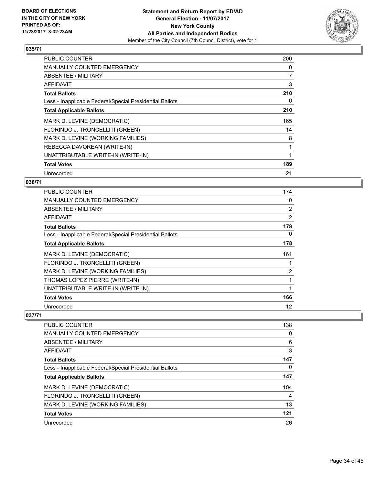

| <b>PUBLIC COUNTER</b>                                    | 200 |
|----------------------------------------------------------|-----|
| <b>MANUALLY COUNTED EMERGENCY</b>                        | 0   |
| ABSENTEE / MILITARY                                      | 7   |
| <b>AFFIDAVIT</b>                                         | 3   |
| <b>Total Ballots</b>                                     | 210 |
| Less - Inapplicable Federal/Special Presidential Ballots | 0   |
| <b>Total Applicable Ballots</b>                          | 210 |
| MARK D. LEVINE (DEMOCRATIC)                              | 165 |
| FLORINDO J. TRONCELLITI (GREEN)                          | 14  |
| MARK D. LEVINE (WORKING FAMILIES)                        | 8   |
| REBECCA DAVOREAN (WRITE-IN)                              |     |
| UNATTRIBUTABLE WRITE-IN (WRITE-IN)                       |     |
| <b>Total Votes</b>                                       | 189 |
| Unrecorded                                               | 21  |

## **036/71**

| <b>PUBLIC COUNTER</b>                                    | 174            |
|----------------------------------------------------------|----------------|
| <b>MANUALLY COUNTED EMERGENCY</b>                        | 0              |
| ABSENTEE / MILITARY                                      | $\overline{2}$ |
| AFFIDAVIT                                                | 2              |
| <b>Total Ballots</b>                                     | 178            |
| Less - Inapplicable Federal/Special Presidential Ballots | 0              |
| <b>Total Applicable Ballots</b>                          | 178            |
| MARK D. LEVINE (DEMOCRATIC)                              | 161            |
| FLORINDO J. TRONCELLITI (GREEN)                          |                |
| MARK D. LEVINE (WORKING FAMILIES)                        | 2              |
| THOMAS LOPEZ PIERRE (WRITE-IN)                           |                |
| UNATTRIBUTABLE WRITE-IN (WRITE-IN)                       |                |
| <b>Total Votes</b>                                       | 166            |
| Unrecorded                                               | 12             |

| <b>PUBLIC COUNTER</b>                                    | 138 |
|----------------------------------------------------------|-----|
| <b>MANUALLY COUNTED EMERGENCY</b>                        | 0   |
| ABSENTEE / MILITARY                                      | 6   |
| AFFIDAVIT                                                | 3   |
| <b>Total Ballots</b>                                     | 147 |
| Less - Inapplicable Federal/Special Presidential Ballots | 0   |
| <b>Total Applicable Ballots</b>                          | 147 |
| MARK D. LEVINE (DEMOCRATIC)                              | 104 |
| FLORINDO J. TRONCELLITI (GREEN)                          | 4   |
| MARK D. LEVINE (WORKING FAMILIES)                        | 13  |
| <b>Total Votes</b>                                       | 121 |
| Unrecorded                                               | 26  |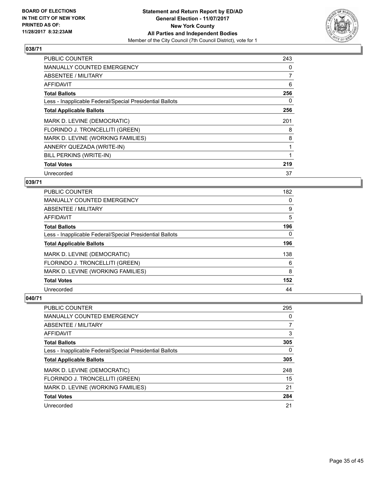

| <b>PUBLIC COUNTER</b>                                    | 243 |
|----------------------------------------------------------|-----|
| MANUALLY COUNTED EMERGENCY                               | 0   |
| ABSENTEE / MILITARY                                      | 7   |
| AFFIDAVIT                                                | 6   |
| <b>Total Ballots</b>                                     | 256 |
| Less - Inapplicable Federal/Special Presidential Ballots | 0   |
| <b>Total Applicable Ballots</b>                          | 256 |
| MARK D. LEVINE (DEMOCRATIC)                              | 201 |
| FLORINDO J. TRONCELLITI (GREEN)                          | 8   |
| MARK D. LEVINE (WORKING FAMILIES)                        | 8   |
| ANNERY QUEZADA (WRITE-IN)                                |     |
| BILL PERKINS (WRITE-IN)                                  |     |
| <b>Total Votes</b>                                       | 219 |
| Unrecorded                                               | 37  |

## **039/71**

| PUBLIC COUNTER                                           | 182      |
|----------------------------------------------------------|----------|
| <b>MANUALLY COUNTED EMERGENCY</b>                        | 0        |
| ABSENTEE / MILITARY                                      | 9        |
| AFFIDAVIT                                                | 5        |
| <b>Total Ballots</b>                                     | 196      |
| Less - Inapplicable Federal/Special Presidential Ballots | $\Omega$ |
| <b>Total Applicable Ballots</b>                          | 196      |
| MARK D. LEVINE (DEMOCRATIC)                              | 138      |
| FLORINDO J. TRONCELLITI (GREEN)                          | 6        |
| MARK D. LEVINE (WORKING FAMILIES)                        | 8        |
| <b>Total Votes</b>                                       | 152      |
| Unrecorded                                               | 44       |

| <b>PUBLIC COUNTER</b>                                    | 295 |
|----------------------------------------------------------|-----|
| <b>MANUALLY COUNTED EMERGENCY</b>                        | 0   |
| ABSENTEE / MILITARY                                      | 7   |
| AFFIDAVIT                                                | 3   |
| <b>Total Ballots</b>                                     | 305 |
| Less - Inapplicable Federal/Special Presidential Ballots | 0   |
| <b>Total Applicable Ballots</b>                          | 305 |
| MARK D. LEVINE (DEMOCRATIC)                              | 248 |
| FLORINDO J. TRONCELLITI (GREEN)                          | 15  |
| MARK D. LEVINE (WORKING FAMILIES)                        | 21  |
| <b>Total Votes</b>                                       | 284 |
| Unrecorded                                               | 21  |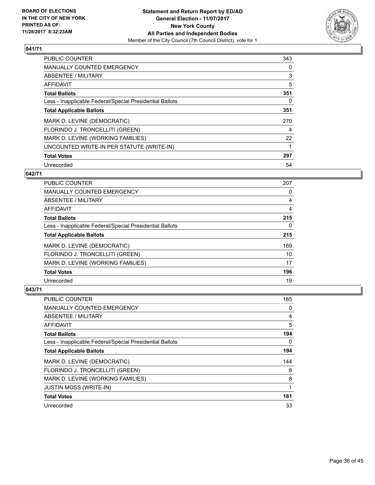

| <b>PUBLIC COUNTER</b>                                    | 343 |
|----------------------------------------------------------|-----|
| <b>MANUALLY COUNTED EMERGENCY</b>                        | 0   |
| ABSENTEE / MILITARY                                      | 3   |
| <b>AFFIDAVIT</b>                                         | 5   |
| <b>Total Ballots</b>                                     | 351 |
| Less - Inapplicable Federal/Special Presidential Ballots | 0   |
| <b>Total Applicable Ballots</b>                          | 351 |
| MARK D. LEVINE (DEMOCRATIC)                              | 270 |
| FLORINDO J. TRONCELLITI (GREEN)                          | 4   |
| MARK D. LEVINE (WORKING FAMILIES)                        | 22  |
| UNCOUNTED WRITE-IN PER STATUTE (WRITE-IN)                |     |
| <b>Total Votes</b>                                       | 297 |
| Unrecorded                                               | 54  |

#### **042/71**

| <b>PUBLIC COUNTER</b>                                    | 207 |
|----------------------------------------------------------|-----|
| <b>MANUALLY COUNTED EMERGENCY</b>                        | 0   |
| ABSENTEE / MILITARY                                      | 4   |
| AFFIDAVIT                                                | 4   |
| <b>Total Ballots</b>                                     | 215 |
| Less - Inapplicable Federal/Special Presidential Ballots | 0   |
| <b>Total Applicable Ballots</b>                          | 215 |
| MARK D. LEVINE (DEMOCRATIC)                              | 169 |
| FLORINDO J. TRONCELLITI (GREEN)                          | 10  |
| MARK D. LEVINE (WORKING FAMILIES)                        | 17  |
| <b>Total Votes</b>                                       | 196 |
| Unrecorded                                               | 19  |

| <b>PUBLIC COUNTER</b>                                    | 185 |
|----------------------------------------------------------|-----|
| <b>MANUALLY COUNTED EMERGENCY</b>                        | 0   |
| ABSENTEE / MILITARY                                      | 4   |
| AFFIDAVIT                                                | 5   |
| <b>Total Ballots</b>                                     | 194 |
| Less - Inapplicable Federal/Special Presidential Ballots | 0   |
| <b>Total Applicable Ballots</b>                          | 194 |
| MARK D. LEVINE (DEMOCRATIC)                              | 144 |
| FLORINDO J. TRONCELLITI (GREEN)                          | 8   |
| MARK D. LEVINE (WORKING FAMILIES)                        | 8   |
| <b>JUSTIN MOSS (WRITE-IN)</b>                            | 1   |
| <b>Total Votes</b>                                       | 161 |
| Unrecorded                                               | 33  |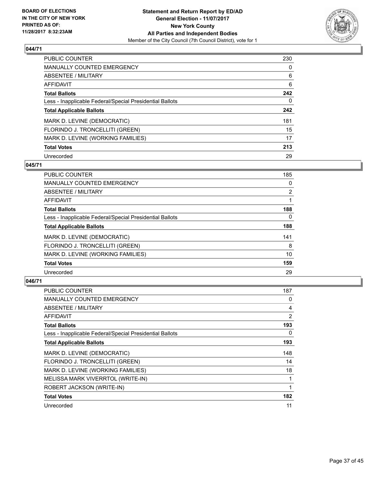

| <b>PUBLIC COUNTER</b>                                    | 230 |
|----------------------------------------------------------|-----|
| <b>MANUALLY COUNTED EMERGENCY</b>                        | 0   |
| ABSENTEE / MILITARY                                      | 6   |
| AFFIDAVIT                                                | 6   |
| <b>Total Ballots</b>                                     | 242 |
| Less - Inapplicable Federal/Special Presidential Ballots | 0   |
| <b>Total Applicable Ballots</b>                          | 242 |
| MARK D. LEVINE (DEMOCRATIC)                              | 181 |
| FLORINDO J. TRONCELLITI (GREEN)                          | 15  |
| MARK D. LEVINE (WORKING FAMILIES)                        | 17  |
| <b>Total Votes</b>                                       | 213 |
| Unrecorded                                               | 29  |

#### **045/71**

| <b>PUBLIC COUNTER</b>                                    | 185            |
|----------------------------------------------------------|----------------|
| <b>MANUALLY COUNTED EMERGENCY</b>                        | 0              |
| ABSENTEE / MILITARY                                      | $\overline{2}$ |
| <b>AFFIDAVIT</b>                                         |                |
| <b>Total Ballots</b>                                     | 188            |
| Less - Inapplicable Federal/Special Presidential Ballots | $\Omega$       |
| <b>Total Applicable Ballots</b>                          | 188            |
| MARK D. LEVINE (DEMOCRATIC)                              | 141            |
| FLORINDO J. TRONCELLITI (GREEN)                          | 8              |
| MARK D. LEVINE (WORKING FAMILIES)                        | 10             |
| <b>Total Votes</b>                                       | 159            |
| Unrecorded                                               | 29             |

| PUBLIC COUNTER                                           | 187 |
|----------------------------------------------------------|-----|
| <b>MANUALLY COUNTED EMERGENCY</b>                        | 0   |
| ABSENTEE / MILITARY                                      | 4   |
| AFFIDAVIT                                                | 2   |
| <b>Total Ballots</b>                                     | 193 |
| Less - Inapplicable Federal/Special Presidential Ballots | 0   |
| <b>Total Applicable Ballots</b>                          | 193 |
| MARK D. LEVINE (DEMOCRATIC)                              | 148 |
| FLORINDO J. TRONCELLITI (GREEN)                          | 14  |
| MARK D. LEVINE (WORKING FAMILIES)                        | 18  |
| MELISSA MARK VIVERRTOL (WRITE-IN)                        |     |
| ROBERT JACKSON (WRITE-IN)                                | 1   |
| <b>Total Votes</b>                                       | 182 |
| Unrecorded                                               | 11  |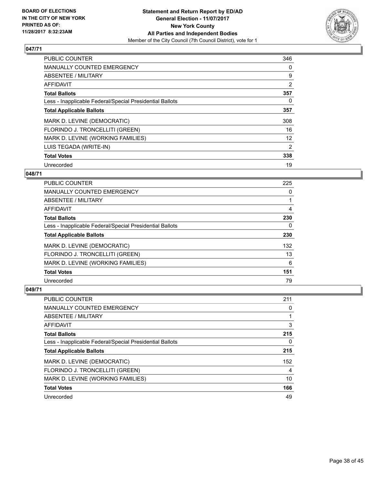

| <b>PUBLIC COUNTER</b>                                    | 346            |
|----------------------------------------------------------|----------------|
| <b>MANUALLY COUNTED EMERGENCY</b>                        | 0              |
| ABSENTEE / MILITARY                                      | 9              |
| AFFIDAVIT                                                | $\overline{2}$ |
| <b>Total Ballots</b>                                     | 357            |
| Less - Inapplicable Federal/Special Presidential Ballots | 0              |
| <b>Total Applicable Ballots</b>                          | 357            |
| MARK D. LEVINE (DEMOCRATIC)                              | 308            |
| FLORINDO J. TRONCELLITI (GREEN)                          | 16             |
| MARK D. LEVINE (WORKING FAMILIES)                        | 12             |
| LUIS TEGADA (WRITE-IN)                                   | 2              |
| <b>Total Votes</b>                                       | 338            |
| Unrecorded                                               | 19             |

#### **048/71**

| <b>PUBLIC COUNTER</b>                                    | 225 |
|----------------------------------------------------------|-----|
| <b>MANUALLY COUNTED EMERGENCY</b>                        | 0   |
| ABSENTEE / MILITARY                                      |     |
| <b>AFFIDAVIT</b>                                         | 4   |
| <b>Total Ballots</b>                                     | 230 |
| Less - Inapplicable Federal/Special Presidential Ballots | 0   |
| <b>Total Applicable Ballots</b>                          | 230 |
| MARK D. LEVINE (DEMOCRATIC)                              | 132 |
| FLORINDO J. TRONCELLITI (GREEN)                          | 13  |
| MARK D. LEVINE (WORKING FAMILIES)                        | 6   |
| <b>Total Votes</b>                                       | 151 |
| Unrecorded                                               | 79  |

| <b>PUBLIC COUNTER</b>                                    | 211 |
|----------------------------------------------------------|-----|
| <b>MANUALLY COUNTED EMERGENCY</b>                        | 0   |
| ABSENTEE / MILITARY                                      |     |
| AFFIDAVIT                                                | 3   |
| <b>Total Ballots</b>                                     | 215 |
| Less - Inapplicable Federal/Special Presidential Ballots | 0   |
| <b>Total Applicable Ballots</b>                          | 215 |
| MARK D. LEVINE (DEMOCRATIC)                              | 152 |
| FLORINDO J. TRONCELLITI (GREEN)                          | 4   |
| MARK D. LEVINE (WORKING FAMILIES)                        | 10  |
| <b>Total Votes</b>                                       | 166 |
| Unrecorded                                               | 49  |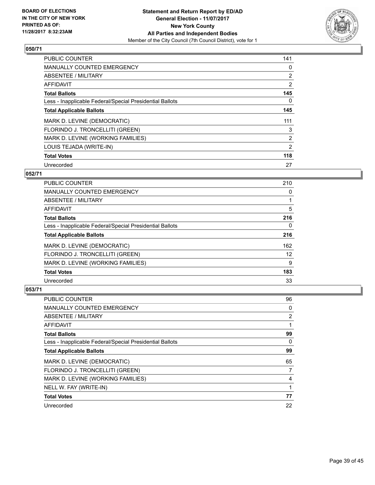

| <b>PUBLIC COUNTER</b>                                    | 141            |
|----------------------------------------------------------|----------------|
| <b>MANUALLY COUNTED EMERGENCY</b>                        | 0              |
| ABSENTEE / MILITARY                                      | $\overline{2}$ |
| AFFIDAVIT                                                | $\overline{2}$ |
| <b>Total Ballots</b>                                     | 145            |
| Less - Inapplicable Federal/Special Presidential Ballots | 0              |
| <b>Total Applicable Ballots</b>                          | 145            |
| MARK D. LEVINE (DEMOCRATIC)                              | 111            |
| FLORINDO J. TRONCELLITI (GREEN)                          | 3              |
| MARK D. LEVINE (WORKING FAMILIES)                        | $\overline{2}$ |
| LOUIS TEJADA (WRITE-IN)                                  | 2              |
| <b>Total Votes</b>                                       | 118            |
| Unrecorded                                               | 27             |

#### **052/71**

| <b>PUBLIC COUNTER</b>                                    | 210 |
|----------------------------------------------------------|-----|
| <b>MANUALLY COUNTED EMERGENCY</b>                        | 0   |
| ABSENTEE / MILITARY                                      |     |
| AFFIDAVIT                                                | 5   |
| <b>Total Ballots</b>                                     | 216 |
| Less - Inapplicable Federal/Special Presidential Ballots | 0   |
| <b>Total Applicable Ballots</b>                          | 216 |
| MARK D. LEVINE (DEMOCRATIC)                              | 162 |
| FLORINDO J. TRONCELLITI (GREEN)                          | 12  |
| MARK D. LEVINE (WORKING FAMILIES)                        | 9   |
| <b>Total Votes</b>                                       | 183 |
| Unrecorded                                               | 33  |

| <b>PUBLIC COUNTER</b>                                    | 96 |
|----------------------------------------------------------|----|
| <b>MANUALLY COUNTED EMERGENCY</b>                        | 0  |
| ABSENTEE / MILITARY                                      | 2  |
| AFFIDAVIT                                                |    |
| <b>Total Ballots</b>                                     | 99 |
| Less - Inapplicable Federal/Special Presidential Ballots | 0  |
| <b>Total Applicable Ballots</b>                          | 99 |
| MARK D. LEVINE (DEMOCRATIC)                              | 65 |
| FLORINDO J. TRONCELLITI (GREEN)                          | 7  |
| MARK D. LEVINE (WORKING FAMILIES)                        | 4  |
| NELL W. FAY (WRITE-IN)                                   |    |
| <b>Total Votes</b>                                       | 77 |
| Unrecorded                                               | 22 |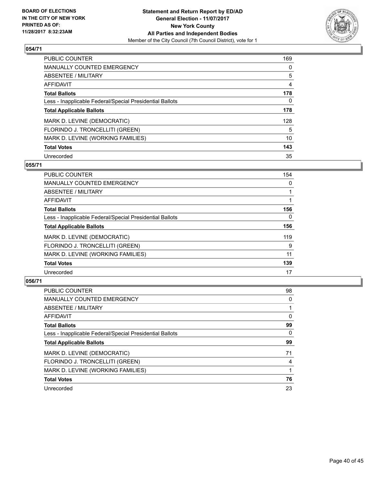

| <b>PUBLIC COUNTER</b>                                    | 169 |
|----------------------------------------------------------|-----|
| <b>MANUALLY COUNTED EMERGENCY</b>                        | 0   |
| ABSENTEE / MILITARY                                      | 5   |
| AFFIDAVIT                                                | 4   |
| <b>Total Ballots</b>                                     | 178 |
| Less - Inapplicable Federal/Special Presidential Ballots | 0   |
| <b>Total Applicable Ballots</b>                          | 178 |
| MARK D. LEVINE (DEMOCRATIC)                              | 128 |
| FLORINDO J. TRONCELLITI (GREEN)                          | 5   |
| MARK D. LEVINE (WORKING FAMILIES)                        | 10  |
| <b>Total Votes</b>                                       | 143 |
| Unrecorded                                               | 35  |

#### **055/71**

| <b>PUBLIC COUNTER</b>                                    | 154      |
|----------------------------------------------------------|----------|
| <b>MANUALLY COUNTED EMERGENCY</b>                        | 0        |
| ABSENTEE / MILITARY                                      |          |
| <b>AFFIDAVIT</b>                                         |          |
| <b>Total Ballots</b>                                     | 156      |
| Less - Inapplicable Federal/Special Presidential Ballots | $\Omega$ |
| <b>Total Applicable Ballots</b>                          | 156      |
| MARK D. LEVINE (DEMOCRATIC)                              | 119      |
| FLORINDO J. TRONCELLITI (GREEN)                          | 9        |
| MARK D. LEVINE (WORKING FAMILIES)                        | 11       |
| <b>Total Votes</b>                                       | 139      |
| Unrecorded                                               | 17       |

| <b>PUBLIC COUNTER</b>                                    | 98 |
|----------------------------------------------------------|----|
| <b>MANUALLY COUNTED EMERGENCY</b>                        | 0  |
| ABSENTEE / MILITARY                                      |    |
| AFFIDAVIT                                                | 0  |
| <b>Total Ballots</b>                                     | 99 |
| Less - Inapplicable Federal/Special Presidential Ballots | 0  |
| <b>Total Applicable Ballots</b>                          | 99 |
| MARK D. LEVINE (DEMOCRATIC)                              | 71 |
| FLORINDO J. TRONCELLITI (GREEN)                          | 4  |
| MARK D. LEVINE (WORKING FAMILIES)                        |    |
| <b>Total Votes</b>                                       | 76 |
| Unrecorded                                               | 23 |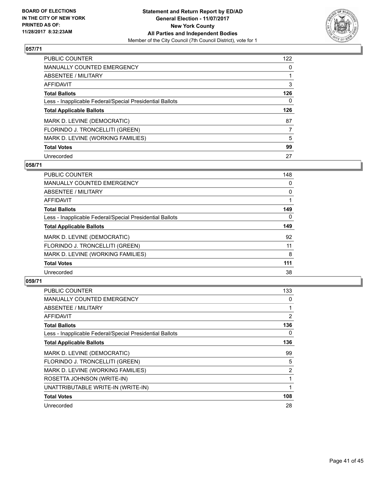

| <b>PUBLIC COUNTER</b>                                    | 122 |
|----------------------------------------------------------|-----|
| MANUALLY COUNTED EMERGENCY                               | 0   |
| ABSENTEE / MILITARY                                      |     |
| AFFIDAVIT                                                | 3   |
| <b>Total Ballots</b>                                     | 126 |
| Less - Inapplicable Federal/Special Presidential Ballots | 0   |
| <b>Total Applicable Ballots</b>                          | 126 |
| MARK D. LEVINE (DEMOCRATIC)                              | 87  |
| FLORINDO J. TRONCELLITI (GREEN)                          | 7   |
| MARK D. LEVINE (WORKING FAMILIES)                        | 5   |
| <b>Total Votes</b>                                       | 99  |
| Unrecorded                                               | 27  |

#### **058/71**

| <b>PUBLIC COUNTER</b>                                    | 148      |
|----------------------------------------------------------|----------|
| <b>MANUALLY COUNTED EMERGENCY</b>                        | 0        |
| ABSENTEE / MILITARY                                      | 0        |
| <b>AFFIDAVIT</b>                                         |          |
| <b>Total Ballots</b>                                     | 149      |
| Less - Inapplicable Federal/Special Presidential Ballots | $\Omega$ |
| <b>Total Applicable Ballots</b>                          | 149      |
| MARK D. LEVINE (DEMOCRATIC)                              | 92       |
| FLORINDO J. TRONCELLITI (GREEN)                          | 11       |
| MARK D. LEVINE (WORKING FAMILIES)                        | 8        |
| <b>Total Votes</b>                                       | 111      |
| Unrecorded                                               | 38       |

| PUBLIC COUNTER                                           | 133 |
|----------------------------------------------------------|-----|
| <b>MANUALLY COUNTED EMERGENCY</b>                        | 0   |
| ABSENTEE / MILITARY                                      |     |
| AFFIDAVIT                                                | 2   |
| <b>Total Ballots</b>                                     | 136 |
| Less - Inapplicable Federal/Special Presidential Ballots | 0   |
| <b>Total Applicable Ballots</b>                          | 136 |
| MARK D. LEVINE (DEMOCRATIC)                              | 99  |
| FLORINDO J. TRONCELLITI (GREEN)                          | 5   |
| MARK D. LEVINE (WORKING FAMILIES)                        | 2   |
| ROSETTA JOHNSON (WRITE-IN)                               |     |
| UNATTRIBUTABLE WRITE-IN (WRITE-IN)                       | 1   |
| <b>Total Votes</b>                                       | 108 |
| Unrecorded                                               | 28  |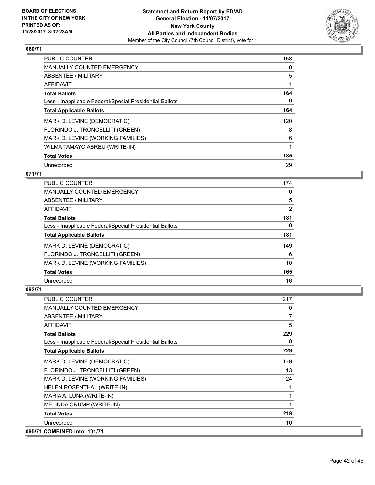

| <b>PUBLIC COUNTER</b>                                    | 158 |
|----------------------------------------------------------|-----|
| <b>MANUALLY COUNTED EMERGENCY</b>                        | 0   |
| ABSENTEE / MILITARY                                      | 5   |
| AFFIDAVIT                                                |     |
| <b>Total Ballots</b>                                     | 164 |
| Less - Inapplicable Federal/Special Presidential Ballots | 0   |
| <b>Total Applicable Ballots</b>                          | 164 |
| MARK D. LEVINE (DEMOCRATIC)                              | 120 |
| FLORINDO J. TRONCELLITI (GREEN)                          | 8   |
| MARK D. LEVINE (WORKING FAMILIES)                        | 6   |
| WILMA TAMAYO ABREU (WRITE-IN)                            | 1   |
| <b>Total Votes</b>                                       | 135 |
| Unrecorded                                               | 29  |

## **071/71**

| <b>PUBLIC COUNTER</b>                                    | 174 |
|----------------------------------------------------------|-----|
| <b>MANUALLY COUNTED EMERGENCY</b>                        | 0   |
| ABSENTEE / MILITARY                                      | 5   |
| AFFIDAVIT                                                | 2   |
| <b>Total Ballots</b>                                     | 181 |
| Less - Inapplicable Federal/Special Presidential Ballots | 0   |
| <b>Total Applicable Ballots</b>                          | 181 |
| MARK D. LEVINE (DEMOCRATIC)                              | 149 |
| FLORINDO J. TRONCELLITI (GREEN)                          | 6   |
| MARK D. LEVINE (WORKING FAMILIES)                        | 10  |
| <b>Total Votes</b>                                       | 165 |
| Unrecorded                                               | 16  |

| <b>PUBLIC COUNTER</b>                                    | 217            |
|----------------------------------------------------------|----------------|
| <b>MANUALLY COUNTED EMERGENCY</b>                        | 0              |
| ABSENTEE / MILITARY                                      | $\overline{7}$ |
| <b>AFFIDAVIT</b>                                         | 5              |
| <b>Total Ballots</b>                                     | 229            |
| Less - Inapplicable Federal/Special Presidential Ballots | 0              |
| <b>Total Applicable Ballots</b>                          | 229            |
| MARK D. LEVINE (DEMOCRATIC)                              | 179            |
| FLORINDO J. TRONCELLITI (GREEN)                          | 13             |
| MARK D. LEVINE (WORKING FAMILIES)                        | 24             |
| HELEN ROSENTHAL (WRITE-IN)                               |                |
| MARIA A. LUNA (WRITE-IN)                                 | 1              |
| MELINDA CRUMP (WRITE-IN)                                 |                |
| <b>Total Votes</b>                                       | 219            |
| Unrecorded                                               | 10             |
| 095/71 COMBINED into: 101/71                             |                |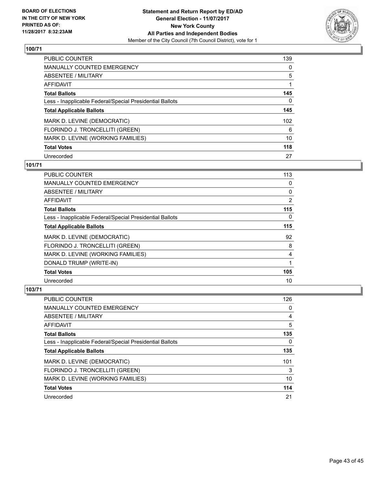

| <b>PUBLIC COUNTER</b>                                    | 139 |
|----------------------------------------------------------|-----|
| <b>MANUALLY COUNTED EMERGENCY</b>                        | 0   |
| ABSENTEE / MILITARY                                      | 5   |
| <b>AFFIDAVIT</b>                                         |     |
| <b>Total Ballots</b>                                     | 145 |
| Less - Inapplicable Federal/Special Presidential Ballots | 0   |
| <b>Total Applicable Ballots</b>                          | 145 |
| MARK D. LEVINE (DEMOCRATIC)                              | 102 |
| FLORINDO J. TRONCELLITI (GREEN)                          | 6   |
| MARK D. LEVINE (WORKING FAMILIES)                        | 10  |
| <b>Total Votes</b>                                       | 118 |
| Unrecorded                                               | 27  |

#### **101/71**

| <b>PUBLIC COUNTER</b>                                    | 113      |
|----------------------------------------------------------|----------|
| MANUALLY COUNTED EMERGENCY                               | 0        |
| ABSENTEE / MILITARY                                      | 0        |
| AFFIDAVIT                                                | 2        |
| <b>Total Ballots</b>                                     | 115      |
| Less - Inapplicable Federal/Special Presidential Ballots | $\Omega$ |
| <b>Total Applicable Ballots</b>                          | 115      |
| MARK D. LEVINE (DEMOCRATIC)                              | 92       |
| FLORINDO J. TRONCELLITI (GREEN)                          | 8        |
| MARK D. LEVINE (WORKING FAMILIES)                        | 4        |
| DONALD TRUMP (WRITE-IN)                                  |          |
| <b>Total Votes</b>                                       | 105      |
| Unrecorded                                               | 10       |

| <b>PUBLIC COUNTER</b>                                    | 126 |
|----------------------------------------------------------|-----|
| <b>MANUALLY COUNTED EMERGENCY</b>                        | 0   |
| ABSENTEE / MILITARY                                      | 4   |
| AFFIDAVIT                                                | 5   |
| <b>Total Ballots</b>                                     | 135 |
| Less - Inapplicable Federal/Special Presidential Ballots | 0   |
| <b>Total Applicable Ballots</b>                          | 135 |
| MARK D. LEVINE (DEMOCRATIC)                              | 101 |
| FLORINDO J. TRONCELLITI (GREEN)                          | 3   |
| MARK D. LEVINE (WORKING FAMILIES)                        | 10  |
| <b>Total Votes</b>                                       | 114 |
| Unrecorded                                               | 21  |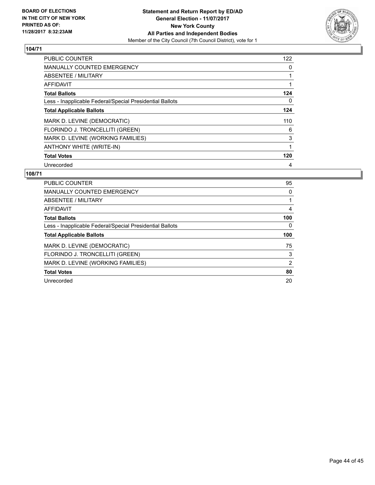

| <b>PUBLIC COUNTER</b>                                    | 122 |
|----------------------------------------------------------|-----|
| <b>MANUALLY COUNTED EMERGENCY</b>                        | 0   |
| ABSENTEE / MILITARY                                      | 1   |
| <b>AFFIDAVIT</b>                                         |     |
| <b>Total Ballots</b>                                     | 124 |
| Less - Inapplicable Federal/Special Presidential Ballots | 0   |
| <b>Total Applicable Ballots</b>                          | 124 |
| MARK D. LEVINE (DEMOCRATIC)                              | 110 |
| FLORINDO J. TRONCELLITI (GREEN)                          | 6   |
| MARK D. LEVINE (WORKING FAMILIES)                        | 3   |
| ANTHONY WHITE (WRITE-IN)                                 |     |
| <b>Total Votes</b>                                       | 120 |
| Unrecorded                                               | 4   |

| <b>PUBLIC COUNTER</b>                                    | 95  |
|----------------------------------------------------------|-----|
| <b>MANUALLY COUNTED EMERGENCY</b>                        | 0   |
| ABSENTEE / MILITARY                                      |     |
| AFFIDAVIT                                                | 4   |
| <b>Total Ballots</b>                                     | 100 |
| Less - Inapplicable Federal/Special Presidential Ballots | 0   |
| <b>Total Applicable Ballots</b>                          | 100 |
| MARK D. LEVINE (DEMOCRATIC)                              | 75  |
| FLORINDO J. TRONCELLITI (GREEN)                          | 3   |
| MARK D. LEVINE (WORKING FAMILIES)                        | 2   |
| <b>Total Votes</b>                                       | 80  |
| Unrecorded                                               | 20  |